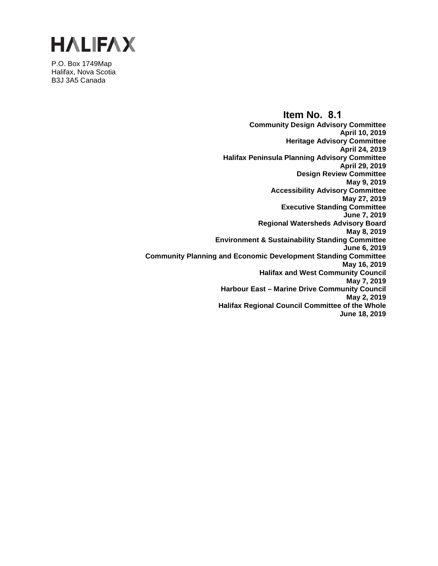

P.O. Box 1749Map Halifax, Nova Scotia B3J 3A5 Canada

> **Item No. 8.1 Community Design Advisory Committee April 10, 2019 Heritage Advisory Committee April 24, 2019 Halifax Peninsula Planning Advisory Committee April 29, 2019 Design Review Committee May 9, 2019 Accessibility Advisory Committee May 27, 2019 Executive Standing Committee June 7, 2019 Regional Watersheds Advisory Board May 8, 2019 Environment & Sustainability Standing Committee June 6, 2019 Community Planning and Economic Development Standing Committee May 16, 2019 Halifax and West Community Council May 7, 2019 Harbour East – Marine Drive Community Council May 2, 2019 Halifax Regional Council Committee of the Whole June 18, 2019**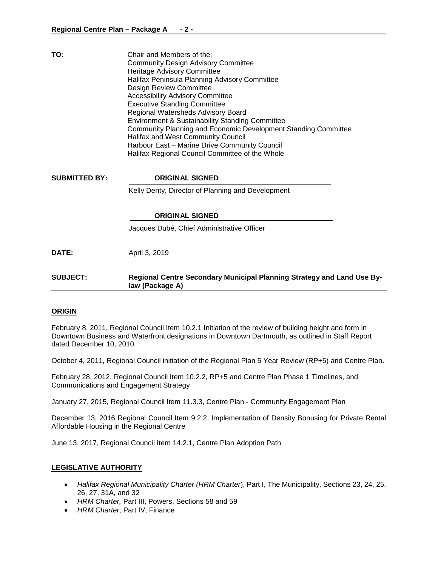| TO:                  | Chair and Members of the:<br><b>Community Design Advisory Committee</b><br>Heritage Advisory Committee<br>Halifax Peninsula Planning Advisory Committee<br>Design Review Committee<br><b>Accessibility Advisory Committee</b><br><b>Executive Standing Committee</b><br>Regional Watersheds Advisory Board<br><b>Environment &amp; Sustainability Standing Committee</b><br>Community Planning and Economic Development Standing Committee<br>Halifax and West Community Council<br>Harbour East - Marine Drive Community Council<br>Halifax Regional Council Committee of the Whole |
|----------------------|--------------------------------------------------------------------------------------------------------------------------------------------------------------------------------------------------------------------------------------------------------------------------------------------------------------------------------------------------------------------------------------------------------------------------------------------------------------------------------------------------------------------------------------------------------------------------------------|
| <b>SUBMITTED BY:</b> | <b>ORIGINAL SIGNED</b>                                                                                                                                                                                                                                                                                                                                                                                                                                                                                                                                                               |
|                      | Kelly Denty, Director of Planning and Development                                                                                                                                                                                                                                                                                                                                                                                                                                                                                                                                    |
|                      | <b>ORIGINAL SIGNED</b>                                                                                                                                                                                                                                                                                                                                                                                                                                                                                                                                                               |
|                      | Jacques Dubé, Chief Administrative Officer                                                                                                                                                                                                                                                                                                                                                                                                                                                                                                                                           |
| DATE:                | April 3, 2019                                                                                                                                                                                                                                                                                                                                                                                                                                                                                                                                                                        |
| <b>SUBJECT:</b>      | Regional Centre Secondary Municipal Planning Strategy and Land Use By-<br>law (Package A)                                                                                                                                                                                                                                                                                                                                                                                                                                                                                            |

#### **ORIGIN**

February 8, 2011, Regional Council Item 10.2.1 Initiation of the review of building height and form in Downtown Business and Waterfront designations in Downtown Dartmouth, as outlined in Staff Report dated December 10, 2010.

October 4, 2011, Regional Council initiation of the Regional Plan 5 Year Review (RP+5) and Centre Plan.

February 28, 2012, Regional Council Item 10.2.2, RP+5 and Centre Plan Phase 1 Timelines, and Communications and Engagement Strategy

January 27, 2015, Regional Council Item 11.3.3, Centre Plan - Community Engagement Plan

December 13, 2016 Regional Council Item 9.2.2, Implementation of Density Bonusing for Private Rental Affordable Housing in the Regional Centre

June 13, 2017, Regional Council Item 14.2.1, Centre Plan Adoption Path

#### **LEGISLATIVE AUTHORITY**

- *Halifax Regional Municipality Charter (HRM Charter*), Part I, The Municipality, Sections 23, 24, 25, 26, 27, 31A, and 32
- *HRM Charter,* Part III, Powers, Sections 58 and 59
- *HRM Charter*, Part IV, Finance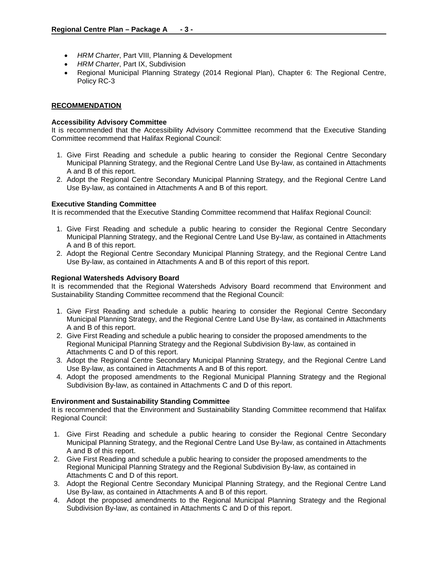- *HRM Charter*, Part VIII, Planning & Development
- *HRM Charter*, Part IX, Subdivision
- Regional Municipal Planning Strategy (2014 Regional Plan), Chapter 6: The Regional Centre, Policy RC-3

## **RECOMMENDATION**

### **Accessibility Advisory Committee**

It is recommended that the Accessibility Advisory Committee recommend that the Executive Standing Committee recommend that Halifax Regional Council:

- 1. Give First Reading and schedule a public hearing to consider the Regional Centre Secondary Municipal Planning Strategy, and the Regional Centre Land Use By-law, as contained in Attachments A and B of this report.
- 2. Adopt the Regional Centre Secondary Municipal Planning Strategy, and the Regional Centre Land Use By-law, as contained in Attachments A and B of this report.

#### **Executive Standing Committee**

It is recommended that the Executive Standing Committee recommend that Halifax Regional Council:

- 1. Give First Reading and schedule a public hearing to consider the Regional Centre Secondary Municipal Planning Strategy, and the Regional Centre Land Use By-law, as contained in Attachments A and B of this report.
- 2. Adopt the Regional Centre Secondary Municipal Planning Strategy, and the Regional Centre Land Use By-law, as contained in Attachments A and B of this report of this report.

## **Regional Watersheds Advisory Board**

It is recommended that the Regional Watersheds Advisory Board recommend that Environment and Sustainability Standing Committee recommend that the Regional Council:

- 1. Give First Reading and schedule a public hearing to consider the Regional Centre Secondary Municipal Planning Strategy, and the Regional Centre Land Use By-law, as contained in Attachments A and B of this report.
- 2. Give First Reading and schedule a public hearing to consider the proposed amendments to the Regional Municipal Planning Strategy and the Regional Subdivision By-law, as contained in Attachments C and D of this report.
- 3. Adopt the Regional Centre Secondary Municipal Planning Strategy, and the Regional Centre Land Use By-law, as contained in Attachments A and B of this report.
- 4. Adopt the proposed amendments to the Regional Municipal Planning Strategy and the Regional Subdivision By-law, as contained in Attachments C and D of this report.

#### **Environment and Sustainability Standing Committee**

It is recommended that the Environment and Sustainability Standing Committee recommend that Halifax Regional Council:

- 1. Give First Reading and schedule a public hearing to consider the Regional Centre Secondary Municipal Planning Strategy, and the Regional Centre Land Use By-law, as contained in Attachments A and B of this report.
- 2. Give First Reading and schedule a public hearing to consider the proposed amendments to the Regional Municipal Planning Strategy and the Regional Subdivision By-law, as contained in Attachments C and D of this report.
- 3. Adopt the Regional Centre Secondary Municipal Planning Strategy, and the Regional Centre Land Use By-law, as contained in Attachments A and B of this report.
- 4. Adopt the proposed amendments to the Regional Municipal Planning Strategy and the Regional Subdivision By-law, as contained in Attachments C and D of this report.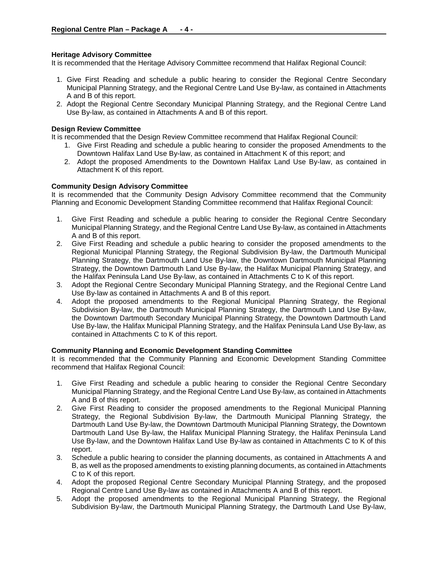## **Heritage Advisory Committee**

It is recommended that the Heritage Advisory Committee recommend that Halifax Regional Council:

- 1. Give First Reading and schedule a public hearing to consider the Regional Centre Secondary Municipal Planning Strategy, and the Regional Centre Land Use By-law, as contained in Attachments A and B of this report.
- 2. Adopt the Regional Centre Secondary Municipal Planning Strategy, and the Regional Centre Land Use By-law, as contained in Attachments A and B of this report.

### **Design Review Committee**

It is recommended that the Design Review Committee recommend that Halifax Regional Council:

- 1. Give First Reading and schedule a public hearing to consider the proposed Amendments to the Downtown Halifax Land Use By-law, as contained in Attachment K of this report; and
- 2. Adopt the proposed Amendments to the Downtown Halifax Land Use By-law, as contained in Attachment K of this report.

## **Community Design Advisory Committee**

It is recommended that the Community Design Advisory Committee recommend that the Community Planning and Economic Development Standing Committee recommend that Halifax Regional Council:

- 1. Give First Reading and schedule a public hearing to consider the Regional Centre Secondary Municipal Planning Strategy, and the Regional Centre Land Use By-law, as contained in Attachments A and B of this report.
- 2. Give First Reading and schedule a public hearing to consider the proposed amendments to the Regional Municipal Planning Strategy, the Regional Subdivision By-law, the Dartmouth Municipal Planning Strategy, the Dartmouth Land Use By-law, the Downtown Dartmouth Municipal Planning Strategy, the Downtown Dartmouth Land Use By-law, the Halifax Municipal Planning Strategy, and the Halifax Peninsula Land Use By-law, as contained in Attachments C to K of this report.
- 3. Adopt the Regional Centre Secondary Municipal Planning Strategy, and the Regional Centre Land Use By-law as contained in Attachments A and B of this report.
- 4. Adopt the proposed amendments to the Regional Municipal Planning Strategy, the Regional Subdivision By-law, the Dartmouth Municipal Planning Strategy, the Dartmouth Land Use By-law, the Downtown Dartmouth Secondary Municipal Planning Strategy, the Downtown Dartmouth Land Use By-law, the Halifax Municipal Planning Strategy, and the Halifax Peninsula Land Use By-law, as contained in Attachments C to K of this report.

#### **Community Planning and Economic Development Standing Committee**

It is recommended that the Community Planning and Economic Development Standing Committee recommend that Halifax Regional Council:

- 1. Give First Reading and schedule a public hearing to consider the Regional Centre Secondary Municipal Planning Strategy, and the Regional Centre Land Use By-law, as contained in Attachments A and B of this report.
- 2. Give First Reading to consider the proposed amendments to the Regional Municipal Planning Strategy, the Regional Subdivision By-law, the Dartmouth Municipal Planning Strategy, the Dartmouth Land Use By-law, the Downtown Dartmouth Municipal Planning Strategy, the Downtown Dartmouth Land Use By-law, the Halifax Municipal Planning Strategy, the Halifax Peninsula Land Use By-law, and the Downtown Halifax Land Use By-law as contained in Attachments C to K of this report.
- 3. Schedule a public hearing to consider the planning documents, as contained in Attachments A and B, as well as the proposed amendments to existing planning documents, as contained in Attachments C to K of this report.
- 4. Adopt the proposed Regional Centre Secondary Municipal Planning Strategy, and the proposed Regional Centre Land Use By-law as contained in Attachments A and B of this report.
- 5. Adopt the proposed amendments to the Regional Municipal Planning Strategy, the Regional Subdivision By-law, the Dartmouth Municipal Planning Strategy, the Dartmouth Land Use By-law,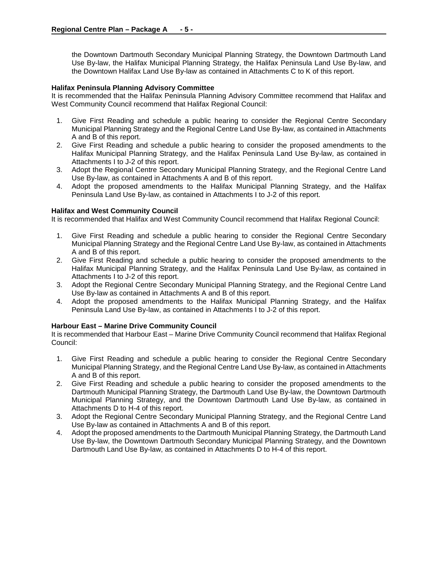the Downtown Dartmouth Secondary Municipal Planning Strategy, the Downtown Dartmouth Land Use By-law, the Halifax Municipal Planning Strategy, the Halifax Peninsula Land Use By-law, and the Downtown Halifax Land Use By-law as contained in Attachments C to K of this report.

## **Halifax Peninsula Planning Advisory Committee**

It is recommended that the Halifax Peninsula Planning Advisory Committee recommend that Halifax and West Community Council recommend that Halifax Regional Council:

- 1. Give First Reading and schedule a public hearing to consider the Regional Centre Secondary Municipal Planning Strategy and the Regional Centre Land Use By-law, as contained in Attachments A and B of this report.
- 2. Give First Reading and schedule a public hearing to consider the proposed amendments to the Halifax Municipal Planning Strategy, and the Halifax Peninsula Land Use By-law, as contained in Attachments I to J-2 of this report.
- 3. Adopt the Regional Centre Secondary Municipal Planning Strategy, and the Regional Centre Land Use By-law, as contained in Attachments A and B of this report.
- 4. Adopt the proposed amendments to the Halifax Municipal Planning Strategy, and the Halifax Peninsula Land Use By-law, as contained in Attachments I to J-2 of this report.

## **Halifax and West Community Council**

It is recommended that Halifax and West Community Council recommend that Halifax Regional Council:

- 1. Give First Reading and schedule a public hearing to consider the Regional Centre Secondary Municipal Planning Strategy and the Regional Centre Land Use By-law, as contained in Attachments A and B of this report.
- 2. Give First Reading and schedule a public hearing to consider the proposed amendments to the Halifax Municipal Planning Strategy, and the Halifax Peninsula Land Use By-law, as contained in Attachments I to J-2 of this report.
- 3. Adopt the Regional Centre Secondary Municipal Planning Strategy, and the Regional Centre Land Use By-law as contained in Attachments A and B of this report.
- 4. Adopt the proposed amendments to the Halifax Municipal Planning Strategy, and the Halifax Peninsula Land Use By-law, as contained in Attachments I to J-2 of this report.

#### **Harbour East – Marine Drive Community Council**

It is recommended that Harbour East – Marine Drive Community Council recommend that Halifax Regional Council:

- 1. Give First Reading and schedule a public hearing to consider the Regional Centre Secondary Municipal Planning Strategy, and the Regional Centre Land Use By-law, as contained in Attachments A and B of this report.
- 2. Give First Reading and schedule a public hearing to consider the proposed amendments to the Dartmouth Municipal Planning Strategy, the Dartmouth Land Use By-law, the Downtown Dartmouth Municipal Planning Strategy, and the Downtown Dartmouth Land Use By-law, as contained in Attachments D to H-4 of this report.
- 3. Adopt the Regional Centre Secondary Municipal Planning Strategy, and the Regional Centre Land Use By-law as contained in Attachments A and B of this report.
- 4. Adopt the proposed amendments to the Dartmouth Municipal Planning Strategy, the Dartmouth Land Use By-law, the Downtown Dartmouth Secondary Municipal Planning Strategy, and the Downtown Dartmouth Land Use By-law, as contained in Attachments D to H-4 of this report.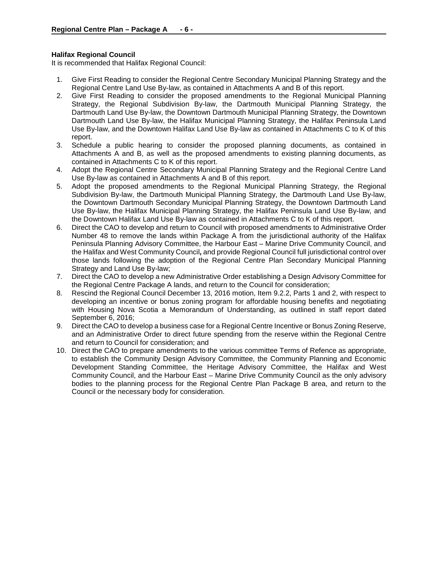## **Halifax Regional Council**

It is recommended that Halifax Regional Council:

- 1. Give First Reading to consider the Regional Centre Secondary Municipal Planning Strategy and the Regional Centre Land Use By-law, as contained in Attachments A and B of this report.
- 2. Give First Reading to consider the proposed amendments to the Regional Municipal Planning Strategy, the Regional Subdivision By-law, the Dartmouth Municipal Planning Strategy, the Dartmouth Land Use By-law, the Downtown Dartmouth Municipal Planning Strategy, the Downtown Dartmouth Land Use By-law, the Halifax Municipal Planning Strategy, the Halifax Peninsula Land Use By-law, and the Downtown Halifax Land Use By-law as contained in Attachments C to K of this report.
- 3. Schedule a public hearing to consider the proposed planning documents, as contained in Attachments A and B, as well as the proposed amendments to existing planning documents, as contained in Attachments C to K of this report.
- 4. Adopt the Regional Centre Secondary Municipal Planning Strategy and the Regional Centre Land Use By-law as contained in Attachments A and B of this report.
- 5. Adopt the proposed amendments to the Regional Municipal Planning Strategy, the Regional Subdivision By-law, the Dartmouth Municipal Planning Strategy, the Dartmouth Land Use By-law, the Downtown Dartmouth Secondary Municipal Planning Strategy, the Downtown Dartmouth Land Use By-law, the Halifax Municipal Planning Strategy, the Halifax Peninsula Land Use By-law, and the Downtown Halifax Land Use By-law as contained in Attachments C to K of this report.
- 6. Direct the CAO to develop and return to Council with proposed amendments to Administrative Order Number 48 to remove the lands within Package A from the jurisdictional authority of the Halifax Peninsula Planning Advisory Committee, the Harbour East – Marine Drive Community Council, and the Halifax and West Community Council**,** and provide Regional Council full jurisdictional control over those lands following the adoption of the Regional Centre Plan Secondary Municipal Planning Strategy and Land Use By-law;
- 7. Direct the CAO to develop a new Administrative Order establishing a Design Advisory Committee for the Regional Centre Package A lands, and return to the Council for consideration;
- 8. Rescind the Regional Council December 13, 2016 motion, Item 9.2.2, Parts 1 and 2, with respect to developing an incentive or bonus zoning program for affordable housing benefits and negotiating with Housing Nova Scotia a Memorandum of Understanding, as outlined in staff report dated September 6, 2016;
- 9. Direct the CAO to develop a business case for a Regional Centre Incentive or Bonus Zoning Reserve, and an Administrative Order to direct future spending from the reserve within the Regional Centre and return to Council for consideration; and
- 10. Direct the CAO to prepare amendments to the various committee Terms of Refence as appropriate, to establish the Community Design Advisory Committee, the Community Planning and Economic Development Standing Committee, the Heritage Advisory Committee, the Halifax and West Community Council, and the Harbour East – Marine Drive Community Council as the only advisory bodies to the planning process for the Regional Centre Plan Package B area, and return to the Council or the necessary body for consideration.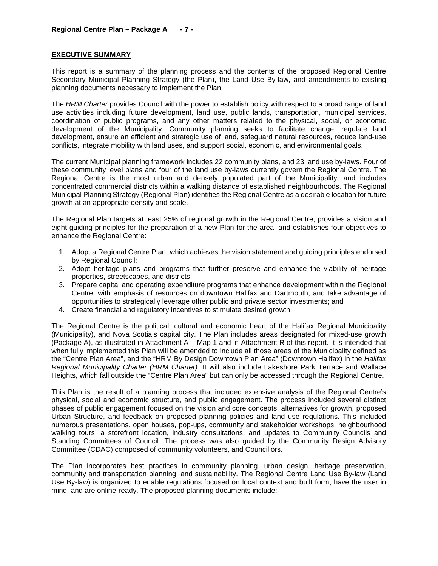## **EXECUTIVE SUMMARY**

This report is a summary of the planning process and the contents of the proposed Regional Centre Secondary Municipal Planning Strategy (the Plan), the Land Use By-law, and amendments to existing planning documents necessary to implement the Plan.

The *HRM Charter* provides Council with the power to establish policy with respect to a broad range of land use activities including future development, land use, public lands, transportation, municipal services, coordination of public programs, and any other matters related to the physical, social, or economic development of the Municipality. Community planning seeks to facilitate change, regulate land development, ensure an efficient and strategic use of land, safeguard natural resources, reduce land-use conflicts, integrate mobility with land uses, and support social, economic, and environmental goals.

The current Municipal planning framework includes 22 community plans, and 23 land use by-laws. Four of these community level plans and four of the land use by-laws currently govern the Regional Centre. The Regional Centre is the most urban and densely populated part of the Municipality, and includes concentrated commercial districts within a walking distance of established neighbourhoods. The Regional Municipal Planning Strategy (Regional Plan) identifies the Regional Centre as a desirable location for future growth at an appropriate density and scale.

The Regional Plan targets at least 25% of regional growth in the Regional Centre, provides a vision and eight guiding principles for the preparation of a new Plan for the area, and establishes four objectives to enhance the Regional Centre:

- 1. Adopt a Regional Centre Plan, which achieves the vision statement and guiding principles endorsed by Regional Council;
- 2. Adopt heritage plans and programs that further preserve and enhance the viability of heritage properties, streetscapes, and districts;
- 3. Prepare capital and operating expenditure programs that enhance development within the Regional Centre, with emphasis of resources on downtown Halifax and Dartmouth, and take advantage of opportunities to strategically leverage other public and private sector investments; and
- 4. Create financial and regulatory incentives to stimulate desired growth.

The Regional Centre is the political, cultural and economic heart of the Halifax Regional Municipality (Municipality), and Nova Scotia's capital city. The Plan includes areas designated for mixed-use growth (Package A), as illustrated in Attachment A – Map 1 and in Attachment R of this report. It is intended that when fully implemented this Plan will be amended to include all those areas of the Municipality defined as the "Centre Plan Area", and the "HRM By Design Downtown Plan Area" (Downtown Halifax) in the *Halifax Regional Municipality Charter (HRM Charter).* It will also include Lakeshore Park Terrace and Wallace Heights, which fall outside the "Centre Plan Area" but can only be accessed through the Regional Centre.

This Plan is the result of a planning process that included extensive analysis of the Regional Centre's physical, social and economic structure, and public engagement. The process included several distinct phases of public engagement focused on the vision and core concepts, alternatives for growth, proposed Urban Structure, and feedback on proposed planning policies and land use regulations. This included numerous presentations, open houses, pop-ups, community and stakeholder workshops, neighbourhood walking tours, a storefront location, industry consultations, and updates to Community Councils and Standing Committees of Council. The process was also guided by the Community Design Advisory Committee (CDAC) composed of community volunteers, and Councillors.

The Plan incorporates best practices in community planning, urban design, heritage preservation, community and transportation planning, and sustainability. The Regional Centre Land Use By-law (Land Use By-law) is organized to enable regulations focused on local context and built form, have the user in mind, and are online-ready. The proposed planning documents include: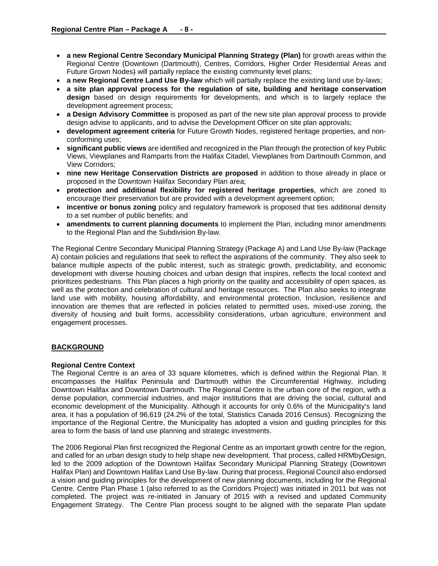- **a new Regional Centre Secondary Municipal Planning Strategy (Plan)** for growth areas within the Regional Centre (Downtown (Dartmouth), Centres, Corridors, Higher Order Residential Areas and Future Grown Nodes) will partially replace the existing community level plans;
- **a new Regional Centre Land Use By-law** which will partially replace the existing land use by-laws;
- **a site plan approval process for the regulation of site, building and heritage conservation design** based on design requirements for developments, and which is to largely replace the development agreement process;
- **a Design Advisory Committee** is proposed as part of the new site plan approval process to provide design advise to applicants, and to advise the Development Officer on site plan approvals;
- **development agreement criteria** for Future Growth Nodes, registered heritage properties, and nonconforming uses;
- **significant public views** are identified and recognized in the Plan through the protection of key Public Views, Viewplanes and Ramparts from the Halifax Citadel, Viewplanes from Dartmouth Common, and View Corridors;
- **nine new Heritage Conservation Districts are proposed** in addition to those already in place or proposed in the Downtown Halifax Secondary Plan area;
- **protection and additional flexibility for registered heritage properties**, which are zoned to encourage their preservation but are provided with a development agreement option;
- **incentive or bonus zoning** policy and regulatory framework is proposed that ties additional density to a set number of public benefits; and
- **amendments to current planning documents** to implement the Plan, including minor amendments to the Regional Plan and the Subdivision By-law.

The Regional Centre Secondary Municipal Planning Strategy (Package A) and Land Use By-law (Package A) contain policies and regulations that seek to reflect the aspirations of the community. They also seek to balance multiple aspects of the public interest, such as strategic growth, predictability, and economic development with diverse housing choices and urban design that inspires, reflects the local context and prioritizes pedestrians. This Plan places a high priority on the quality and accessibility of open spaces, as well as the protection and celebration of cultural and heritage resources. The Plan also seeks to integrate land use with mobility, housing affordability, and environmental protection. Inclusion, resilience and innovation are themes that are reflected in policies related to permitted uses, mixed-use zoning, the diversity of housing and built forms, accessibility considerations, urban agriculture, environment and engagement processes.

## **BACKGROUND**

#### **Regional Centre Context**

The Regional Centre is an area of 33 square kilometres, which is defined within the Regional Plan. It encompasses the Halifax Peninsula and Dartmouth within the Circumferential Highway, including Downtown Halifax and Downtown Dartmouth. The Regional Centre is the urban core of the region, with a dense population, commercial industries, and major institutions that are driving the social, cultural and economic development of the Municipality. Although it accounts for only 0.6% of the Municipality's land area, it has a population of 96,619 (24.2% of the total, Statistics Canada 2016 Census). Recognizing the importance of the Regional Centre, the Municipality has adopted a vision and guiding principles for this area to form the basis of land use planning and strategic investments.

The 2006 Regional Plan first recognized the Regional Centre as an important growth centre for the region, and called for an urban design study to help shape new development. That process, called HRMbyDesign, led to the 2009 adoption of the Downtown Halifax Secondary Municipal Planning Strategy (Downtown Halifax Plan) and Downtown Halifax Land Use By-law. During that process, Regional Council also endorsed a vision and guiding principles for the development of new planning documents, including for the Regional Centre. Centre Plan Phase 1 (also referred to as the Corridors Project) was initiated in 2011 but was not completed. The project was re-initiated in January of 2015 with a revised and updated Community Engagement Strategy. The Centre Plan process sought to be aligned with the separate Plan update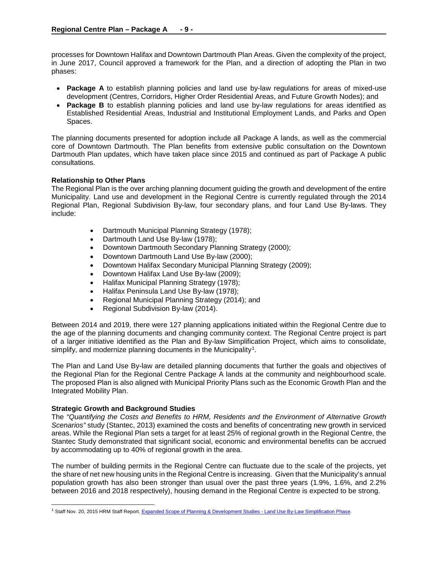processes for Downtown Halifax and Downtown Dartmouth Plan Areas. Given the complexity of the project, in June 2017, Council approved a framework for the Plan, and a direction of adopting the Plan in two phases:

- **Package A** to establish planning policies and land use by-law regulations for areas of mixed-use development (Centres, Corridors, Higher Order Residential Areas, and Future Growth Nodes); and
- **Package B** to establish planning policies and land use by-law regulations for areas identified as Established Residential Areas, Industrial and Institutional Employment Lands, and Parks and Open Spaces.

The planning documents presented for adoption include all Package A lands, as well as the commercial core of Downtown Dartmouth. The Plan benefits from extensive public consultation on the Downtown Dartmouth Plan updates, which have taken place since 2015 and continued as part of Package A public consultations.

## **Relationship to Other Plans**

The Regional Plan is the over arching planning document guiding the growth and development of the entire Municipality. Land use and development in the Regional Centre is currently regulated through the 2014 Regional Plan, Regional Subdivision By-law, four secondary plans, and four Land Use By-laws. They include:

- Dartmouth Municipal Planning Strategy (1978);
- Dartmouth Land Use By-law (1978);
- Downtown Dartmouth Secondary Planning Strategy (2000);
- Downtown Dartmouth Land Use By-law (2000);
- Downtown Halifax Secondary Municipal Planning Strategy (2009);
- Downtown Halifax Land Use By-law (2009);
- Halifax Municipal Planning Strategy (1978);
- Halifax Peninsula Land Use By-law (1978);
- Regional Municipal Planning Strategy (2014); and
- Regional Subdivision By-law (2014).

Between 2014 and 2019, there were 127 planning applications initiated within the Regional Centre due to the age of the planning documents and changing community context. The Regional Centre project is part of a larger initiative identified as the Plan and By-law Simplification Project, which aims to consolidate, simplify, and modernize planning documents in the Municipality<sup>1</sup>.

The Plan and Land Use By-law are detailed planning documents that further the goals and objectives of the Regional Plan for the Regional Centre Package A lands at the community and neighbourhood scale. The proposed Plan is also aligned with Municipal Priority Plans such as the Economic Growth Plan and the Integrated Mobility Plan.

## **Strategic Growth and Background Studies**

The *"Quantifying the Costs and Benefits to HRM, Residents and the Environment of Alternative Growth Scenarios"* study (Stantec, 2013) examined the costs and benefits of concentrating new growth in serviced areas. While the Regional Plan sets a target for at least 25% of regional growth in the Regional Centre, the Stantec Study demonstrated that significant social, economic and environmental benefits can be accrued by accommodating up to 40% of regional growth in the area.

The number of building permits in the Regional Centre can fluctuate due to the scale of the projects, yet the share of net new housing units in the Regional Centre is increasing. Given that the Municipality's annual population growth has also been stronger than usual over the past three years (1.9%, 1.6%, and 2.2% between 2016 and 2018 respectively), housing demand in the Regional Centre is expected to be strong.

<span id="page-8-0"></span><sup>&</sup>lt;sup>1</sup> Staff Nov. 20, 2015 HRM Staff Report. [Expanded Scope of Planning & Development Studies -](http://legacycontent.halifax.ca/council/agendasc/documents/151201ca1422.pdf) Land Use By-Law Simplification Phase.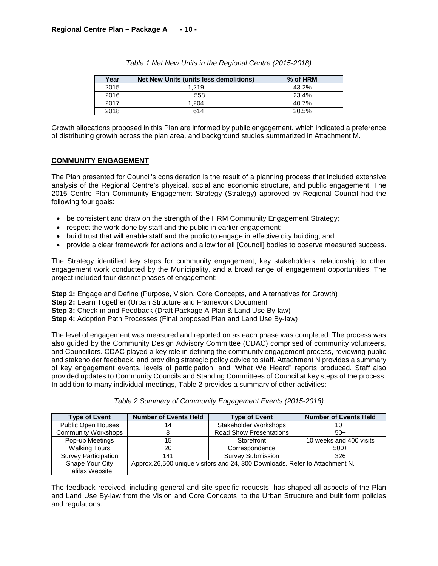| Year | Net New Units (units less demolitions) | % of HRM |
|------|----------------------------------------|----------|
| 2015 | 1.219                                  | 43.2%    |
| 2016 | 558                                    | 23.4%    |
| 2017 | 1.204                                  | 40.7%    |
| 2018 | 614                                    | 20.5%    |

*Table 1 Net New Units in the Regional Centre (2015-2018)*

Growth allocations proposed in this Plan are informed by public engagement, which indicated a preference of distributing growth across the plan area, and background studies summarized in Attachment M.

#### **COMMUNITY ENGAGEMENT**

The Plan presented for Council's consideration is the result of a planning process that included extensive analysis of the Regional Centre's physical, social and economic structure, and public engagement. The 2015 Centre Plan Community Engagement Strategy (Strategy) approved by Regional Council had the following four goals:

- be consistent and draw on the strength of the HRM Community Engagement Strategy;
- respect the work done by staff and the public in earlier engagement;
- build trust that will enable staff and the public to engage in effective city building; and
- provide a clear framework for actions and allow for all [Council] bodies to observe measured success.

The Strategy identified key steps for community engagement, key stakeholders, relationship to other engagement work conducted by the Municipality, and a broad range of engagement opportunities. The project included four distinct phases of engagement:

**Step 1:** Engage and Define (Purpose, Vision, Core Concepts, and Alternatives for Growth)

**Step 2:** Learn Together (Urban Structure and Framework Document

**Step 3:** Check-in and Feedback (Draft Package A Plan & Land Use By-law)

**Step 4:** Adoption Path Processes (Final proposed Plan and Land Use By-law)

The level of engagement was measured and reported on as each phase was completed. The process was also guided by the Community Design Advisory Committee (CDAC) comprised of community volunteers, and Councillors. CDAC played a key role in defining the community engagement process, reviewing public and stakeholder feedback, and providing strategic policy advice to staff. Attachment N provides a summary of key engagement events, levels of participation, and "What We Heard" reports produced. Staff also provided updates to Community Councils and Standing Committees of Council at key steps of the process. In addition to many individual meetings, Table 2 provides a summary of other activities:

| Table 2 Summary of Community Engagement Events (2015-2018) |  |
|------------------------------------------------------------|--|
|                                                            |  |

| <b>Type of Event</b>        | <b>Number of Events Held</b>                                                | <b>Type of Event</b>           | <b>Number of Events Held</b> |
|-----------------------------|-----------------------------------------------------------------------------|--------------------------------|------------------------------|
| Public Open Houses          | 14                                                                          | Stakeholder Workshops          | $10+$                        |
| <b>Community Workshops</b>  |                                                                             | <b>Road Show Presentations</b> | $50+$                        |
| Pop-up Meetings             | 15                                                                          | Storefront                     | 10 weeks and 400 visits      |
| <b>Walking Tours</b>        | 20                                                                          | Correspondence                 | $500+$                       |
| <b>Survey Participation</b> | 141                                                                         | <b>Survey Submission</b>       | 326                          |
| Shape Your City             | Approx.26,500 unique visitors and 24, 300 Downloads. Refer to Attachment N. |                                |                              |
| <b>Halifax Website</b>      |                                                                             |                                |                              |

The feedback received, including general and site-specific requests, has shaped all aspects of the Plan and Land Use By-law from the Vision and Core Concepts, to the Urban Structure and built form policies and regulations.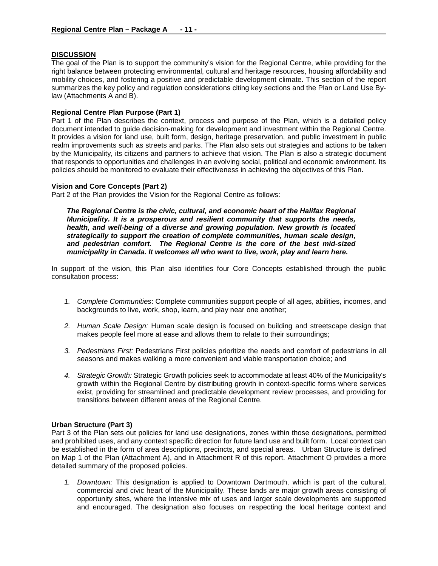## **DISCUSSION**

The goal of the Plan is to support the community's vision for the Regional Centre, while providing for the right balance between protecting environmental, cultural and heritage resources, housing affordability and mobility choices, and fostering a positive and predictable development climate. This section of the report summarizes the key policy and regulation considerations citing key sections and the Plan or Land Use Bylaw (Attachments A and B).

## **Regional Centre Plan Purpose (Part 1)**

Part 1 of the Plan describes the context, process and purpose of the Plan, which is a detailed policy document intended to guide decision-making for development and investment within the Regional Centre. It provides a vision for land use, built form, design, heritage preservation, and public investment in public realm improvements such as streets and parks. The Plan also sets out strategies and actions to be taken by the Municipality, its citizens and partners to achieve that vision. The Plan is also a strategic document that responds to opportunities and challenges in an evolving social, political and economic environment. Its policies should be monitored to evaluate their effectiveness in achieving the objectives of this Plan.

#### **Vision and Core Concepts (Part 2)**

Part 2 of the Plan provides the Vision for the Regional Centre as follows:

*The Regional Centre is the civic, cultural, and economic heart of the Halifax Regional Municipality. It is a prosperous and resilient community that supports the needs, health, and well-being of a diverse and growing population. New growth is located strategically to support the creation of complete communities, human scale design, and pedestrian comfort. The Regional Centre is the core of the best mid-sized municipality in Canada. It welcomes all who want to live, work, play and learn here.* 

In support of the vision, this Plan also identifies four Core Concepts established through the public consultation process:

- *1. Complete Communities*: Complete communities support people of all ages, abilities, incomes, and backgrounds to live, work, shop, learn, and play near one another;
- *2. Human Scale Design:* Human scale design is focused on building and streetscape design that makes people feel more at ease and allows them to relate to their surroundings;
- *3. Pedestrians First:* Pedestrians First policies prioritize the needs and comfort of pedestrians in all seasons and makes walking a more convenient and viable transportation choice; and
- *4. Strategic Growth:* Strategic Growth policies seek to accommodate at least 40% of the Municipality's growth within the Regional Centre by distributing growth in context-specific forms where services exist, providing for streamlined and predictable development review processes, and providing for transitions between different areas of the Regional Centre.

#### **Urban Structure (Part 3)**

Part 3 of the Plan sets out policies for land use designations, zones within those designations, permitted and prohibited uses, and any context specific direction for future land use and built form. Local context can be established in the form of area descriptions, precincts, and special areas. Urban Structure is defined on Map 1 of the Plan (Attachment A), and in Attachment R of this report. Attachment O provides a more detailed summary of the proposed policies.

*1. Downtown:* This designation is applied to Downtown Dartmouth, which is part of the cultural, commercial and civic heart of the Municipality. These lands are major growth areas consisting of opportunity sites, where the intensive mix of uses and larger scale developments are supported and encouraged. The designation also focuses on respecting the local heritage context and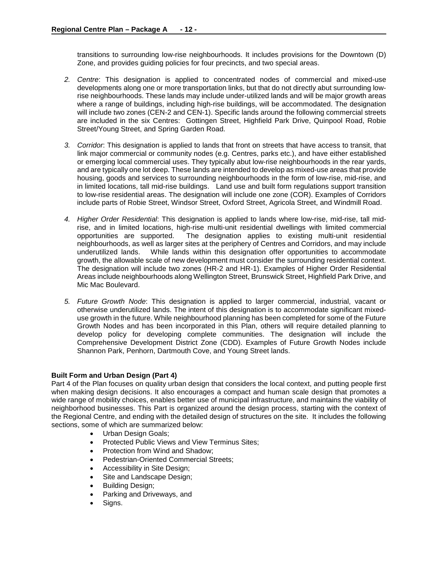transitions to surrounding low-rise neighbourhoods. It includes provisions for the Downtown (D) Zone, and provides guiding policies for four precincts, and two special areas.

- *2. Centre*: This designation is applied to concentrated nodes of commercial and mixed-use developments along one or more transportation links, but that do not directly abut surrounding lowrise neighbourhoods. These lands may include under-utilized lands and will be major growth areas where a range of buildings, including high-rise buildings, will be accommodated. The designation will include two zones (CEN-2 and CEN-1). Specific lands around the following commercial streets are included in the six Centres: Gottingen Street, Highfield Park Drive, Quinpool Road, Robie Street/Young Street, and Spring Garden Road.
- *3. Corridor*: This designation is applied to lands that front on streets that have access to transit, that link major commercial or community nodes (e.g. Centres, parks etc.), and have either established or emerging local commercial uses. They typically abut low-rise neighbourhoods in the rear yards, and are typically one lot deep. These lands are intended to develop as mixed-use areas that provide housing, goods and services to surrounding neighbourhoods in the form of low-rise, mid-rise, and in limited locations, tall mid-rise buildings. Land use and built form regulations support transition to low-rise residential areas. The designation will include one zone (COR). Examples of Corridors include parts of Robie Street, Windsor Street, Oxford Street, Agricola Street, and Windmill Road.
- *4. Higher Order Residential*: This designation is applied to lands where low-rise, mid-rise, tall midrise, and in limited locations, high-rise multi-unit residential dwellings with limited commercial opportunities are supported. The designation applies to existing multi-unit residential The designation applies to existing multi-unit residential neighbourhoods, as well as larger sites at the periphery of Centres and Corridors, and may include underutilized lands. While lands within this designation offer opportunities to accommodate growth, the allowable scale of new development must consider the surrounding residential context. The designation will include two zones (HR-2 and HR-1). Examples of Higher Order Residential Areas include neighbourhoods along Wellington Street, Brunswick Street, Highfield Park Drive, and Mic Mac Boulevard.
- *5. Future Growth Node*: This designation is applied to larger commercial, industrial, vacant or otherwise underutilized lands. The intent of this designation is to accommodate significant mixeduse growth in the future. While neighbourhood planning has been completed for some of the Future Growth Nodes and has been incorporated in this Plan, others will require detailed planning to develop policy for developing complete communities. The designation will include the Comprehensive Development District Zone (CDD). Examples of Future Growth Nodes include Shannon Park, Penhorn, Dartmouth Cove, and Young Street lands.

## **Built Form and Urban Design (Part 4)**

Part 4 of the Plan focuses on quality urban design that considers the local context, and putting people first when making design decisions. It also encourages a compact and human scale design that promotes a wide range of mobility choices, enables better use of municipal infrastructure, and maintains the viability of neighborhood businesses. This Part is organized around the design process, starting with the context of the Regional Centre, and ending with the detailed design of structures on the site. It includes the following sections, some of which are summarized below:

- Urban Design Goals;
- Protected Public Views and View Terminus Sites;
- Protection from Wind and Shadow;
- Pedestrian-Oriented Commercial Streets;
- Accessibility in Site Design;
- Site and Landscape Design;
- Building Design;
- Parking and Driveways, and
- Signs.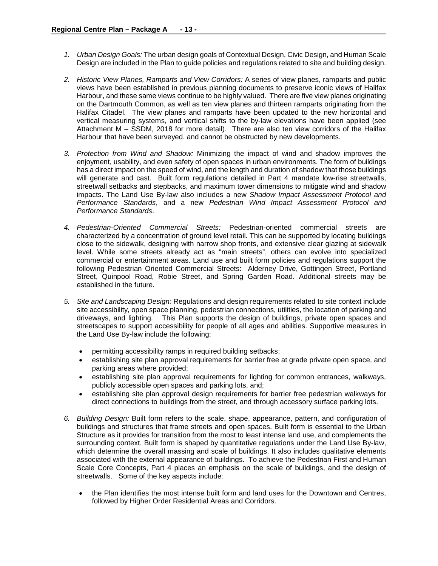- *1. Urban Design Goals:* The urban design goals of Contextual Design, Civic Design, and Human Scale Design are included in the Plan to guide policies and regulations related to site and building design.
- *2. Historic View Planes, Ramparts and View Corridors:* A series of view planes, ramparts and public views have been established in previous planning documents to preserve iconic views of Halifax Harbour, and these same views continue to be highly valued. There are five view planes originating on the Dartmouth Common, as well as ten view planes and thirteen ramparts originating from the Halifax Citadel. The view planes and ramparts have been updated to the new horizontal and vertical measuring systems, and vertical shifts to the by-law elevations have been applied (see Attachment M – SSDM, 2018 for more detail). There are also ten view corridors of the Halifax Harbour that have been surveyed, and cannot be obstructed by new developments.
- *3. Protection from Wind and Shadow:* Minimizing the impact of wind and shadow improves the enjoyment, usability, and even safety of open spaces in urban environments. The form of buildings has a direct impact on the speed of wind, and the length and duration of shadow that those buildings will generate and cast. Built form regulations detailed in Part 4 mandate low-rise streetwalls, streetwall setbacks and stepbacks, and maximum tower dimensions to mitigate wind and shadow impacts. The Land Use By-law also includes a new *Shadow Impact Assessment Protocol and Performance Standards*, and a new *Pedestrian Wind Impact Assessment Protocol and Performance Standards*.
- *4. Pedestrian-Oriented Commercial Streets:* Pedestrian-oriented commercial streets are characterized by a concentration of ground level retail. This can be supported by locating buildings close to the sidewalk, designing with narrow shop fronts, and extensive clear glazing at sidewalk level. While some streets already act as "main streets", others can evolve into specialized commercial or entertainment areas. Land use and built form policies and regulations support the following Pedestrian Oriented Commercial Streets: Alderney Drive, Gottingen Street, Portland Street, Quinpool Road, Robie Street, and Spring Garden Road. Additional streets may be established in the future.
- *5. Site and Landscaping Design:* Regulations and design requirements related to site context include site accessibility, open space planning, pedestrian connections, utilities, the location of parking and driveways, and lighting. This Plan supports the design of buildings, private open spaces and streetscapes to support accessibility for people of all ages and abilities. Supportive measures in the Land Use By-law include the following:
	- permitting accessibility ramps in required building setbacks;
	- establishing site plan approval requirements for barrier free at grade private open space, and parking areas where provided;
	- establishing site plan approval requirements for lighting for common entrances, walkways, publicly accessible open spaces and parking lots, and;
	- establishing site plan approval design requirements for barrier free pedestrian walkways for direct connections to buildings from the street, and through accessory surface parking lots.
- *6. Building Design:* Built form refers to the scale, shape, appearance, pattern, and configuration of buildings and structures that frame streets and open spaces. Built form is essential to the Urban Structure as it provides for transition from the most to least intense land use, and complements the surrounding context. Built form is shaped by quantitative regulations under the Land Use By-law, which determine the overall massing and scale of buildings. It also includes qualitative elements associated with the external appearance of buildings. To achieve the Pedestrian First and Human Scale Core Concepts, Part 4 places an emphasis on the scale of buildings, and the design of streetwalls. Some of the key aspects include:
	- the Plan identifies the most intense built form and land uses for the Downtown and Centres, followed by Higher Order Residential Areas and Corridors.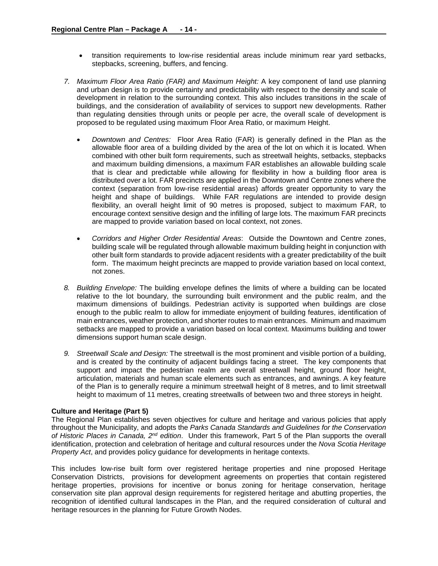- transition requirements to low-rise residential areas include minimum rear yard setbacks, stepbacks, screening, buffers, and fencing.
- *7. Maximum Floor Area Ratio (FAR) and Maximum Height:* A key component of land use planning and urban design is to provide certainty and predictability with respect to the density and scale of development in relation to the surrounding context. This also includes transitions in the scale of buildings, and the consideration of availability of services to support new developments. Rather than regulating densities through units or people per acre, the overall scale of development is proposed to be regulated using maximum Floor Area Ratio, or maximum Height.
	- *Downtown and Centres:* Floor Area Ratio (FAR) is generally defined in the Plan as the allowable floor area of a building divided by the area of the lot on which it is located. When combined with other built form requirements, such as streetwall heights, setbacks, stepbacks and maximum building dimensions, a maximum FAR establishes an allowable building scale that is clear and predictable while allowing for flexibility in how a building floor area is distributed over a lot. FAR precincts are applied in the Downtown and Centre zones where the context (separation from low-rise residential areas) affords greater opportunity to vary the height and shape of buildings. While FAR regulations are intended to provide design flexibility, an overall height limit of 90 metres is proposed, subject to maximum FAR, to encourage context sensitive design and the infilling of large lots. The maximum FAR precincts are mapped to provide variation based on local context, not zones.
	- *Corridors and Higher Order Residential Areas*: Outside the Downtown and Centre zones, building scale will be regulated through allowable maximum building height in conjunction with other built form standards to provide adjacent residents with a greater predictability of the built form. The maximum height precincts are mapped to provide variation based on local context, not zones.
- *8. Building Envelope:* The building envelope defines the limits of where a building can be located relative to the lot boundary, the surrounding built environment and the public realm, and the maximum dimensions of buildings. Pedestrian activity is supported when buildings are close enough to the public realm to allow for immediate enjoyment of building features, identification of main entrances, weather protection, and shorter routes to main entrances. Minimum and maximum setbacks are mapped to provide a variation based on local context. Maximums building and tower dimensions support human scale design.
- *9. Streetwall Scale and Design:* The streetwall is the most prominent and visible portion of a building, and is created by the continuity of adjacent buildings facing a street. The key components that support and impact the pedestrian realm are overall streetwall height, ground floor height, articulation, materials and human scale elements such as entrances, and awnings. A key feature of the Plan is to generally require a minimum streetwall height of 8 metres, and to limit streetwall height to maximum of 11 metres, creating streetwalls of between two and three storeys in height.

#### **Culture and Heritage (Part 5)**

The Regional Plan establishes seven objectives for culture and heritage and various policies that apply throughout the Municipality, and adopts the *Parks Canada Standards and Guidelines for the Conservation of Historic Places in Canada, 2nd edition*. Under this framework, Part 5 of the Plan supports the overall identification, protection and celebration of heritage and cultural resources under the *Nova Scotia Heritage Property Act*, and provides policy guidance for developments in heritage contexts.

This includes low-rise built form over registered heritage properties and nine proposed Heritage Conservation Districts, provisions for development agreements on properties that contain registered heritage properties, provisions for incentive or bonus zoning for heritage conservation, heritage conservation site plan approval design requirements for registered heritage and abutting properties, the recognition of identified cultural landscapes in the Plan, and the required consideration of cultural and heritage resources in the planning for Future Growth Nodes.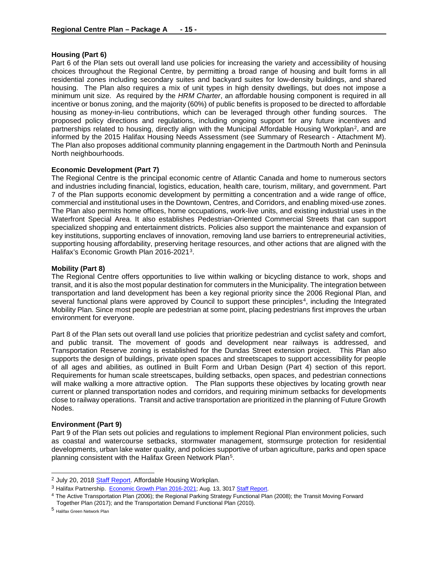## **Housing (Part 6)**

Part 6 of the Plan sets out overall land use policies for increasing the variety and accessibility of housing choices throughout the Regional Centre, by permitting a broad range of housing and built forms in all residential zones including secondary suites and backyard suites for low-density buildings, and shared housing. The Plan also requires a mix of unit types in high density dwellings, but does not impose a minimum unit size. As required by the *HRM Charter*, an affordable housing component is required in all incentive or bonus zoning, and the majority (60%) of public benefits is proposed to be directed to affordable housing as money-in-lieu contributions, which can be leveraged through other funding sources. The proposed policy directions and regulations, including ongoing support for any future incentives and partnerships related to housing, directly align with the Municipal Affordable Housing Workplan<sup>2</sup>, and are informed by the 2015 Halifax Housing Needs Assessment (see Summary of Research - Attachment M). The Plan also proposes additional community planning engagement in the Dartmouth North and Peninsula North neighbourhoods.

## **Economic Development (Part 7)**

The Regional Centre is the principal economic centre of Atlantic Canada and home to numerous sectors and industries including financial, logistics, education, health care, tourism, military, and government. Part 7 of the Plan supports economic development by permitting a concentration and a wide range of office, commercial and institutional uses in the Downtown, Centres, and Corridors, and enabling mixed-use zones. The Plan also permits home offices, home occupations, work-live units, and existing industrial uses in the Waterfront Special Area. It also establishes Pedestrian-Oriented Commercial Streets that can support specialized shopping and entertainment districts. Policies also support the maintenance and expansion of key institutions, supporting enclaves of innovation, removing land use barriers to entrepreneurial activities, supporting housing affordability, preserving heritage resources, and other actions that are aligned with the Halifax's Economic Growth Plan 2016-2021[3](#page-14-1).

## **Mobility (Part 8)**

The Regional Centre offers opportunities to live within walking or bicycling distance to work, shops and transit, and it is also the most popular destination for commuters in the Municipality. The integration between transportation and land development has been a key regional priority since the 2006 Regional Plan, and several functional plans were approved by Council to support these principles<sup>4</sup>, including the Integrated Mobility Plan. Since most people are pedestrian at some point, placing pedestrians first improves the urban environment for everyone.

Part 8 of the Plan sets out overall land use policies that prioritize pedestrian and cyclist safety and comfort, and public transit. The movement of goods and development near railways is addressed, and Transportation Reserve zoning is established for the Dundas Street extension project. This Plan also supports the design of buildings, private open spaces and streetscapes to support accessibility for people of all ages and abilities, as outlined in Built Form and Urban Design (Part 4) section of this report. Requirements for human scale streetscapes, building setbacks, open spaces, and pedestrian connections will make walking a more attractive option. The Plan supports these objectives by locating growth near current or planned transportation nodes and corridors, and requiring minimum setbacks for developments close to railway operations. Transit and active transportation are prioritized in the planning of Future Growth Nodes.

#### **Environment (Part 9)**

Part 9 of the Plan sets out policies and regulations to implement Regional Plan environment policies, such as coastal and watercourse setbacks, stormwater management, stormsurge protection for residential developments, urban lake water quality, and policies supportive of urban agriculture, parks and open space planning consistent with the Halifax Green Network Plan<sup>[5](#page-14-3)</sup>.

<span id="page-14-0"></span><sup>&</sup>lt;sup>2</sup> July 20, 2018 [Staff Report.](https://www.halifax.ca/sites/default/files/documents/city-hall/regional-council/180731rc1423.pdf) Affordable Housing Workplan.

<span id="page-14-2"></span><span id="page-14-1"></span><sup>&</sup>lt;sup>3</sup> Halifax Partnership. [Economic Growth Plan 2016-2021;](http://www.halifaxpartnership.com/en/home/economic-data-reports/economic-strategy/default.aspx) Aug. 13, 3017 Staff Report.<br><sup>4</sup> The Active Transportation Plan (2006); the Regional Parking Strategy Functional Plan (2008); the Transit Moving Forward Together Plan (2017); and the Transportation Demand Functional Plan (2010).

<span id="page-14-3"></span><sup>5</sup> Halifax Green Network Plan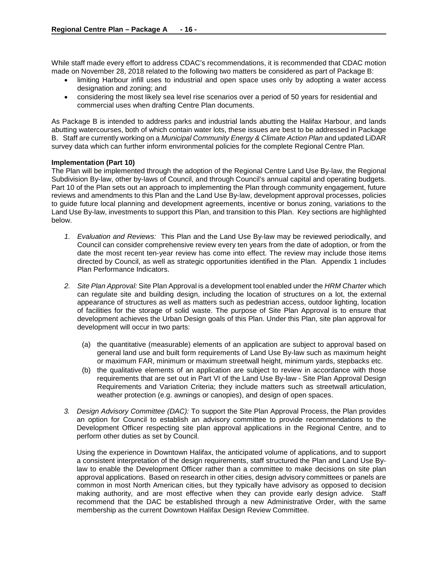While staff made every effort to address CDAC's recommendations, it is recommended that CDAC motion made on November 28, 2018 related to the following two matters be considered as part of Package B:

- limiting Harbour infill uses to industrial and open space uses only by adopting a water access designation and zoning; and
- considering the most likely sea level rise scenarios over a period of 50 years for residential and commercial uses when drafting Centre Plan documents.

As Package B is intended to address parks and industrial lands abutting the Halifax Harbour, and lands abutting watercourses, both of which contain water lots, these issues are best to be addressed in Package B. Staff are currently working on a *Municipal Community Energy & Climate Action Plan* and updated LiDAR survey data which can further inform environmental policies for the complete Regional Centre Plan.

## **Implementation (Part 10)**

The Plan will be implemented through the adoption of the Regional Centre Land Use By-law, the Regional Subdivision By-law, other by-laws of Council, and through Council's annual capital and operating budgets. Part 10 of the Plan sets out an approach to implementing the Plan through community engagement, future reviews and amendments to this Plan and the Land Use By-law, development approval processes, policies to guide future local planning and development agreements, incentive or bonus zoning, variations to the Land Use By-law, investments to support this Plan, and transition to this Plan. Key sections are highlighted below.

- *1. Evaluation and Reviews:*This Plan and the Land Use By-law may be reviewed periodically, and Council can consider comprehensive review every ten years from the date of adoption, or from the date the most recent ten-year review has come into effect. The review may include those items directed by Council, as well as strategic opportunities identified in the Plan. Appendix 1 includes Plan Performance Indicators.
- *2. Site Plan Approval:* Site Plan Approval is a development tool enabled under the *HRM Charter* which can regulate site and building design, including the location of structures on a lot, the external appearance of structures as well as matters such as pedestrian access, outdoor lighting, location of facilities for the storage of solid waste. The purpose of Site Plan Approval is to ensure that development achieves the Urban Design goals of this Plan. Under this Plan, site plan approval for development will occur in two parts:
	- (a) the quantitative (measurable) elements of an application are subject to approval based on general land use and built form requirements of Land Use By-law such as maximum height or maximum FAR, minimum or maximum streetwall height, minimum yards, stepbacks etc.
	- (b) the qualitative elements of an application are subject to review in accordance with those requirements that are set out in Part VI of the Land Use By-law - Site Plan Approval Design Requirements and Variation Criteria; they include matters such as streetwall articulation, weather protection (e.g. awnings or canopies), and design of open spaces.
- *3. Design Advisory Committee (DAC):* To support the Site Plan Approval Process, the Plan provides an option for Council to establish an advisory committee to provide recommendations to the Development Officer respecting site plan approval applications in the Regional Centre, and to perform other duties as set by Council.

Using the experience in Downtown Halifax, the anticipated volume of applications, and to support a consistent interpretation of the design requirements, staff structured the Plan and Land Use Bylaw to enable the Development Officer rather than a committee to make decisions on site plan approval applications. Based on research in other cities, design advisory committees or panels are common in most North American cities, but they typically have advisory as opposed to decision making authority, and are most effective when they can provide early design advice. Staff recommend that the DAC be established through a new Administrative Order, with the same membership as the current Downtown Halifax Design Review Committee.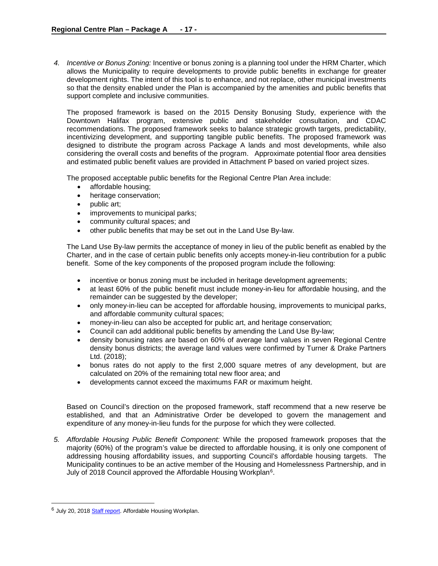*4. Incentive or Bonus Zoning:* Incentive or bonus zoning is a planning tool under the HRM Charter, which allows the Municipality to require developments to provide public benefits in exchange for greater development rights. The intent of this tool is to enhance, and not replace, other municipal investments so that the density enabled under the Plan is accompanied by the amenities and public benefits that support complete and inclusive communities.

The proposed framework is based on the 2015 Density Bonusing Study, experience with the Downtown Halifax program, extensive public and stakeholder consultation, and CDAC recommendations. The proposed framework seeks to balance strategic growth targets, predictability, incentivizing development, and supporting tangible public benefits. The proposed framework was designed to distribute the program across Package A lands and most developments, while also considering the overall costs and benefits of the program. Approximate potential floor area densities and estimated public benefit values are provided in Attachment P based on varied project sizes.

The proposed acceptable public benefits for the Regional Centre Plan Area include:

- affordable housing;
- heritage conservation;
- public art;
- improvements to municipal parks;
- community cultural spaces; and
- other public benefits that may be set out in the Land Use By-law.

The Land Use By-law permits the acceptance of money in lieu of the public benefit as enabled by the Charter, and in the case of certain public benefits only accepts money-in-lieu contribution for a public benefit. Some of the key components of the proposed program include the following:

- incentive or bonus zoning must be included in heritage development agreements;
- at least 60% of the public benefit must include money-in-lieu for affordable housing, and the remainder can be suggested by the developer;
- only money-in-lieu can be accepted for affordable housing, improvements to municipal parks, and affordable community cultural spaces;
- money-in-lieu can also be accepted for public art, and heritage conservation;
- Council can add additional public benefits by amending the Land Use By-law;
- density bonusing rates are based on 60% of average land values in seven Regional Centre density bonus districts; the average land values were confirmed by Turner & Drake Partners Ltd. (2018);
- bonus rates do not apply to the first 2,000 square metres of any development, but are calculated on 20% of the remaining total new floor area; and
- developments cannot exceed the maximums FAR or maximum height.

Based on Council's direction on the proposed framework, staff recommend that a new reserve be established, and that an Administrative Order be developed to govern the management and expenditure of any money-in-lieu funds for the purpose for which they were collected.

*5. Affordable Housing Public Benefit Component:* While the proposed framework proposes that the majority (60%) of the program's value be directed to affordable housing, it is only one component of addressing housing affordability issues, and supporting Council's affordable housing targets. The Municipality continues to be an active member of the Housing and Homelessness Partnership, and in July of 2018 Council approved the Affordable Housing Workplan<sup>[6](#page-16-0)</sup>.

<span id="page-16-0"></span><sup>&</sup>lt;sup>6</sup> July 20, 201[8 Staff report.](https://www.halifax.ca/sites/default/files/documents/city-hall/regional-council/180731rc1423.pdf) Affordable Housing Workplan.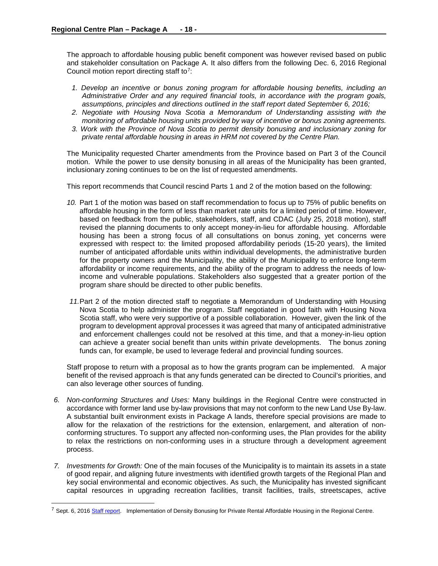The approach to affordable housing public benefit component was however revised based on public and stakeholder consultation on Package A. It also differs from the following Dec. 6, 2016 Regional Council motion report directing staff to[7:](#page-17-0)

- *1. Develop an incentive or bonus zoning program for affordable housing benefits, including an Administrative Order and any required financial tools, in accordance with the program goals, assumptions, principles and directions outlined in the staff report dated September 6, 2016;*
- *2. Negotiate with Housing Nova Scotia a Memorandum of Understanding assisting with the monitoring of affordable housing units provided by way of incentive or bonus zoning agreements.*
- *3. Work with the Province of Nova Scotia to permit density bonusing and inclusionary zoning for private rental affordable housing in areas in HRM not covered by the Centre Plan.*

The Municipality requested Charter amendments from the Province based on Part 3 of the Council motion. While the power to use density bonusing in all areas of the Municipality has been granted, inclusionary zoning continues to be on the list of requested amendments.

This report recommends that Council rescind Parts 1 and 2 of the motion based on the following:

- *10.* Part 1 of the motion was based on staff recommendation to focus up to 75% of public benefits on affordable housing in the form of less than market rate units for a limited period of time. However, based on feedback from the public, stakeholders, staff, and CDAC (July 25, 2018 motion), staff revised the planning documents to only accept money-in-lieu for affordable housing. Affordable housing has been a strong focus of all consultations on bonus zoning, yet concerns were expressed with respect to: the limited proposed affordability periods (15-20 years), the limited number of anticipated affordable units within individual developments, the administrative burden for the property owners and the Municipality, the ability of the Municipality to enforce long-term affordability or income requirements, and the ability of the program to address the needs of lowincome and vulnerable populations. Stakeholders also suggested that a greater portion of the program share should be directed to other public benefits.
- *11.*Part 2 of the motion directed staff to negotiate a Memorandum of Understanding with Housing Nova Scotia to help administer the program. Staff negotiated in good faith with Housing Nova Scotia staff, who were very supportive of a possible collaboration. However, given the link of the program to development approval processes it was agreed that many of anticipated administrative and enforcement challenges could not be resolved at this time, and that a money-in-lieu option can achieve a greater social benefit than units within private developments. The bonus zoning funds can, for example, be used to leverage federal and provincial funding sources.

Staff propose to return with a proposal as to how the grants program can be implemented. A major benefit of the revised approach is that any funds generated can be directed to Council's priorities, and can also leverage other sources of funding.

- *6. Non-conforming Structures and Uses:* Many buildings in the Regional Centre were constructed in accordance with former land use by-law provisions that may not conform to the new Land Use By-law. A substantial built environment exists in Package A lands, therefore special provisions are made to allow for the relaxation of the restrictions for the extension, enlargement, and alteration of nonconforming structures. To support any affected non-conforming uses, the Plan provides for the ability to relax the restrictions on non-conforming uses in a structure through a development agreement process.
- *7. Investments for Growth:* One of the main focuses of the Municipality is to maintain its assets in a state of good repair, and aligning future investments with identified growth targets of the Regional Plan and key social environmental and economic objectives. As such, the Municipality has invested significant capital resources in upgrading recreation facilities, transit facilities, trails, streetscapes, active

<span id="page-17-0"></span><sup>&</sup>lt;sup>7</sup> Sept. 6, 201[6 Staff report.](https://www.halifax.ca/sites/default/files/documents/city-hall/regional-council/161206rc1422.pdf) Implementation of Density Bonusing for Private Rental Affordable Housing in the Regional Centre.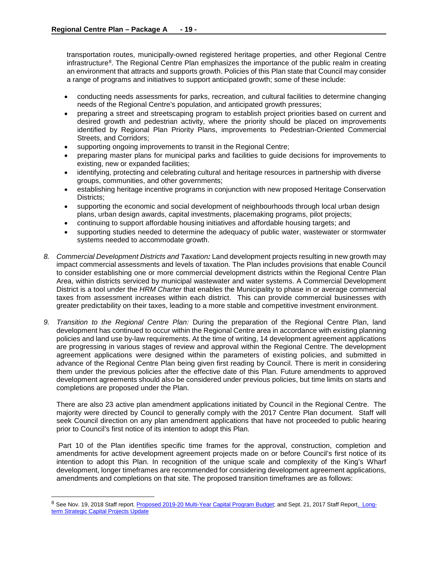transportation routes, municipally-owned registered heritage properties, and other Regional Centre infrastructure<sup>8</sup>. The Regional Centre Plan emphasizes the importance of the public realm in creating an environment that attracts and supports growth. Policies of this Plan state that Council may consider a range of programs and initiatives to support anticipated growth; some of these include:

- conducting needs assessments for parks, recreation, and cultural facilities to determine changing needs of the Regional Centre's population, and anticipated growth pressures;
- preparing a street and streetscaping program to establish project priorities based on current and desired growth and pedestrian activity, where the priority should be placed on improvements identified by Regional Plan Priority Plans, improvements to Pedestrian-Oriented Commercial Streets, and Corridors;
- supporting ongoing improvements to transit in the Regional Centre;
- preparing master plans for municipal parks and facilities to guide decisions for improvements to existing, new or expanded facilities;
- identifying, protecting and celebrating cultural and heritage resources in partnership with diverse groups, communities, and other governments;
- establishing heritage incentive programs in conjunction with new proposed Heritage Conservation Districts;
- supporting the economic and social development of neighbourhoods through local urban design plans, urban design awards, capital investments, placemaking programs, pilot projects;
- continuing to support affordable housing initiatives and affordable housing targets; and
- supporting studies needed to determine the adequacy of public water, wastewater or stormwater systems needed to accommodate growth.
- *8. Commercial Development Districts and Taxation:* Land development projects resulting in new growth may impact commercial assessments and levels of taxation. The Plan includes provisions that enable Council to consider establishing one or more commercial development districts within the Regional Centre Plan Area, within districts serviced by municipal wastewater and water systems. A Commercial Development District is a tool under the *HRM Charter* that enables the Municipality to phase in or average commercial taxes from assessment increases within each district. This can provide commercial businesses with greater predictability on their taxes, leading to a more stable and competitive investment environment.
- *9. Transition to the Regional Centre Plan:* During the preparation of the Regional Centre Plan, land development has continued to occur within the Regional Centre area in accordance with existing planning policies and land use by-law requirements. At the time of writing, 14 development agreement applications are progressing in various stages of review and approval within the Regional Centre. The development agreement applications were designed within the parameters of existing policies, and submitted in advance of the Regional Centre Plan being given first reading by Council. There is merit in considering them under the previous policies after the effective date of this Plan. Future amendments to approved development agreements should also be considered under previous policies, but time limits on starts and completions are proposed under the Plan.

There are also 23 active plan amendment applications initiated by Council in the Regional Centre. The majority were directed by Council to generally comply with the 2017 Centre Plan document. Staff will seek Council direction on any plan amendment applications that have not proceeded to public hearing prior to Council's first notice of its intention to adopt this Plan.

Part 10 of the Plan identifies specific time frames for the approval, construction, completion and amendments for active development agreement projects made on or before Council's first notice of its intention to adopt this Plan. In recognition of the unique scale and complexity of the King's Wharf development, longer timeframes are recommended for considering development agreement applications, amendments and completions on that site. The proposed transition timeframes are as follows:

<span id="page-18-0"></span><sup>&</sup>lt;sup>8</sup> See Nov. 19, 2018 Staff report. [Proposed 2019-20 Multi-Year Capital Program Budget;](https://www.halifax.ca/sites/default/files/documents/city-hall/regional-council/181204cow5.pdf) and Sept. 21, 2017 Staff Repor[t. Long](https://www.halifax.ca/sites/default/files/documents/city-hall/regional-council/171003rc1421.pdf)[term Strategic Capital Projects Update](https://www.halifax.ca/sites/default/files/documents/city-hall/regional-council/171003rc1421.pdf)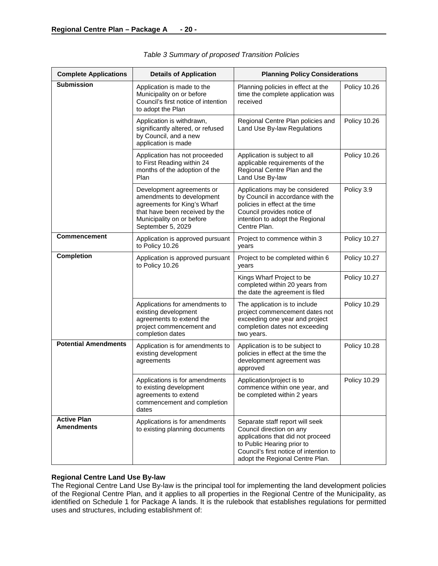| <b>Complete Applications</b>            | <b>Details of Application</b>                                                                                                                                             | <b>Planning Policy Considerations</b>                                                                                                                                                                       |                     |
|-----------------------------------------|---------------------------------------------------------------------------------------------------------------------------------------------------------------------------|-------------------------------------------------------------------------------------------------------------------------------------------------------------------------------------------------------------|---------------------|
| <b>Submission</b>                       | Application is made to the<br>Municipality on or before<br>Council's first notice of intention<br>to adopt the Plan                                                       | Planning policies in effect at the<br>time the complete application was<br>received                                                                                                                         | <b>Policy 10.26</b> |
|                                         | Application is withdrawn,<br>significantly altered, or refused<br>by Council, and a new<br>application is made                                                            | Regional Centre Plan policies and<br>Land Use By-law Regulations                                                                                                                                            | <b>Policy 10.26</b> |
|                                         | Application has not proceeded<br>to First Reading within 24<br>months of the adoption of the<br>Plan                                                                      | Application is subject to all<br>applicable requirements of the<br>Regional Centre Plan and the<br>Land Use By-law                                                                                          | <b>Policy 10.26</b> |
|                                         | Development agreements or<br>amendments to development<br>agreements for King's Wharf<br>that have been received by the<br>Municipality on or before<br>September 5, 2029 | Applications may be considered<br>by Council in accordance with the<br>policies in effect at the time<br>Council provides notice of<br>intention to adopt the Regional<br>Centre Plan.                      | Policy 3.9          |
| <b>Commencement</b>                     | Application is approved pursuant<br>to Policy 10.26                                                                                                                       | Project to commence within 3<br>years                                                                                                                                                                       | Policy 10.27        |
| Completion                              | Application is approved pursuant<br>to Policy 10.26                                                                                                                       | Project to be completed within 6<br>years                                                                                                                                                                   | Policy 10.27        |
|                                         |                                                                                                                                                                           | Kings Wharf Project to be<br>completed within 20 years from<br>the date the agreement is filed                                                                                                              | <b>Policy 10.27</b> |
|                                         | Applications for amendments to<br>existing development<br>agreements to extend the<br>project commencement and<br>completion dates                                        | The application is to include<br>project commencement dates not<br>exceeding one year and project<br>completion dates not exceeding<br>two years.                                                           | <b>Policy 10.29</b> |
| <b>Potential Amendments</b>             | Application is for amendments to<br>existing development<br>agreements                                                                                                    | Application is to be subject to<br>policies in effect at the time the<br>development agreement was<br>approved                                                                                              | <b>Policy 10.28</b> |
|                                         | Applications is for amendments<br>to existing development<br>agreements to extend<br>commencement and completion<br>dates                                                 | Application/project is to<br>commence within one year, and<br>be completed within 2 years                                                                                                                   | <b>Policy 10.29</b> |
| <b>Active Plan</b><br><b>Amendments</b> | Applications is for amendments<br>to existing planning documents                                                                                                          | Separate staff report will seek<br>Council direction on any<br>applications that did not proceed<br>to Public Hearing prior to<br>Council's first notice of intention to<br>adopt the Regional Centre Plan. |                     |

# **Regional Centre Land Use By-law**

The Regional Centre Land Use By-law is the principal tool for implementing the land development policies of the Regional Centre Plan, and it applies to all properties in the Regional Centre of the Municipality, as identified on Schedule 1 for Package A lands. It is the rulebook that establishes regulations for permitted uses and structures, including establishment of: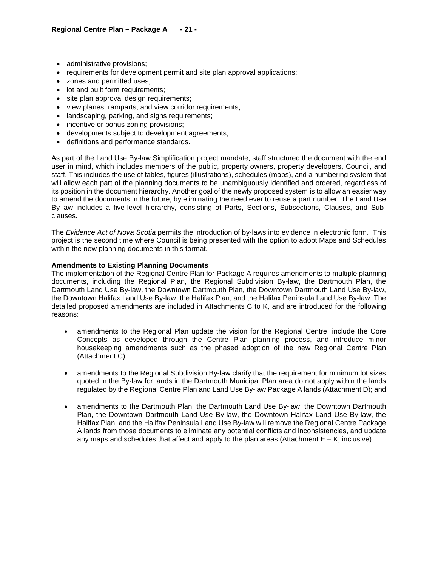- administrative provisions;
- requirements for development permit and site plan approval applications;
- zones and permitted uses;
- lot and built form requirements;
- site plan approval design requirements;
- view planes, ramparts, and view corridor requirements;
- landscaping, parking, and signs requirements;
- incentive or bonus zoning provisions;
- developments subject to development agreements;
- definitions and performance standards.

As part of the Land Use By-law Simplification project mandate, staff structured the document with the end user in mind, which includes members of the public, property owners, property developers, Council, and staff. This includes the use of tables, figures (illustrations), schedules (maps), and a numbering system that will allow each part of the planning documents to be unambiguously identified and ordered, regardless of its position in the document hierarchy. Another goal of the newly proposed system is to allow an easier way to amend the documents in the future, by eliminating the need ever to reuse a part number. The Land Use By-law includes a five-level hierarchy, consisting of Parts, Sections, Subsections, Clauses, and Subclauses.

The *Evidence Act of Nova Scotia* permits the introduction of by-laws into evidence in electronic form. This project is the second time where Council is being presented with the option to adopt Maps and Schedules within the new planning documents in this format.

#### **Amendments to Existing Planning Documents**

The implementation of the Regional Centre Plan for Package A requires amendments to multiple planning documents, including the Regional Plan, the Regional Subdivision By-law, the Dartmouth Plan, the Dartmouth Land Use By-law, the Downtown Dartmouth Plan, the Downtown Dartmouth Land Use By-law, the Downtown Halifax Land Use By-law, the Halifax Plan, and the Halifax Peninsula Land Use By-law. The detailed proposed amendments are included in Attachments C to K, and are introduced for the following reasons:

- amendments to the Regional Plan update the vision for the Regional Centre, include the Core Concepts as developed through the Centre Plan planning process, and introduce minor housekeeping amendments such as the phased adoption of the new Regional Centre Plan (Attachment C);
- amendments to the Regional Subdivision By-law clarify that the requirement for minimum lot sizes quoted in the By-law for lands in the Dartmouth Municipal Plan area do not apply within the lands regulated by the Regional Centre Plan and Land Use By-law Package A lands (Attachment D); and
- amendments to the Dartmouth Plan, the Dartmouth Land Use By-law, the Downtown Dartmouth Plan, the Downtown Dartmouth Land Use By-law, the Downtown Halifax Land Use By-law, the Halifax Plan, and the Halifax Peninsula Land Use By-law will remove the Regional Centre Package A lands from those documents to eliminate any potential conflicts and inconsistencies, and update any maps and schedules that affect and apply to the plan areas (Attachment  $E - K$ , inclusive)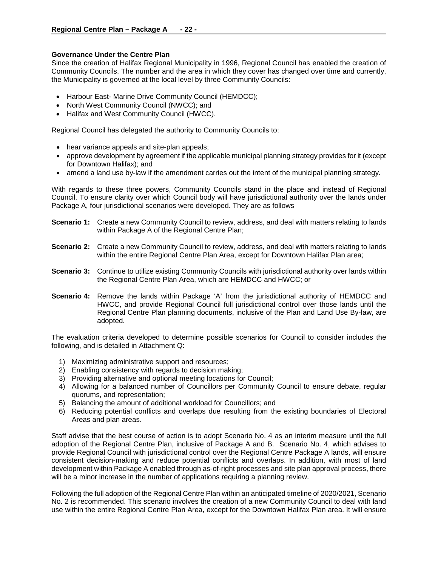## **Governance Under the Centre Plan**

Since the creation of Halifax Regional Municipality in 1996, Regional Council has enabled the creation of Community Councils. The number and the area in which they cover has changed over time and currently, the Municipality is governed at the local level by three Community Councils:

- Harbour East- Marine Drive Community Council (HEMDCC);
- North West Community Council (NWCC); and
- Halifax and West Community Council (HWCC).

Regional Council has delegated the authority to Community Councils to:

- hear variance appeals and site-plan appeals;
- approve development by agreement if the applicable municipal planning strategy provides for it (except for Downtown Halifax); and
- amend a land use by-law if the amendment carries out the intent of the municipal planning strategy.

With regards to these three powers, Community Councils stand in the place and instead of Regional Council. To ensure clarity over which Council body will have jurisdictional authority over the lands under Package A, four jurisdictional scenarios were developed. They are as follows

- **Scenario 1:** Create a new Community Council to review, address, and deal with matters relating to lands within Package A of the Regional Centre Plan;
- **Scenario 2:** Create a new Community Council to review, address, and deal with matters relating to lands within the entire Regional Centre Plan Area, except for Downtown Halifax Plan area;
- **Scenario 3:** Continue to utilize existing Community Councils with jurisdictional authority over lands within the Regional Centre Plan Area, which are HEMDCC and HWCC; or
- **Scenario 4:** Remove the lands within Package 'A' from the jurisdictional authority of HEMDCC and HWCC, and provide Regional Council full jurisdictional control over those lands until the Regional Centre Plan planning documents, inclusive of the Plan and Land Use By-law, are adopted.

The evaluation criteria developed to determine possible scenarios for Council to consider includes the following, and is detailed in Attachment Q:

- 1) Maximizing administrative support and resources;
- 2) Enabling consistency with regards to decision making;
- 3) Providing alternative and optional meeting locations for Council;
- 4) Allowing for a balanced number of Councillors per Community Council to ensure debate, regular quorums, and representation;
- 5) Balancing the amount of additional workload for Councillors; and
- 6) Reducing potential conflicts and overlaps due resulting from the existing boundaries of Electoral Areas and plan areas.

Staff advise that the best course of action is to adopt Scenario No. 4 as an interim measure until the full adoption of the Regional Centre Plan, inclusive of Package A and B. Scenario No. 4, which advises to provide Regional Council with jurisdictional control over the Regional Centre Package A lands, will ensure consistent decision-making and reduce potential conflicts and overlaps. In addition, with most of land development within Package A enabled through as-of-right processes and site plan approval process, there will be a minor increase in the number of applications requiring a planning review.

Following the full adoption of the Regional Centre Plan within an anticipated timeline of 2020/2021, Scenario No. 2 is recommended. This scenario involves the creation of a new Community Council to deal with land use within the entire Regional Centre Plan Area, except for the Downtown Halifax Plan area. It will ensure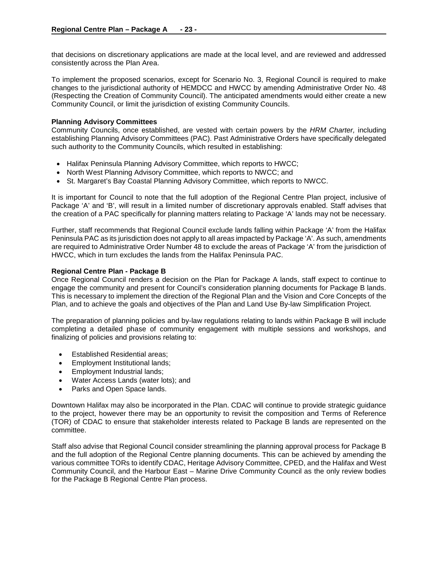that decisions on discretionary applications are made at the local level, and are reviewed and addressed consistently across the Plan Area.

To implement the proposed scenarios, except for Scenario No. 3, Regional Council is required to make changes to the jurisdictional authority of HEMDCC and HWCC by amending Administrative Order No. 48 (Respecting the Creation of Community Council). The anticipated amendments would either create a new Community Council, or limit the jurisdiction of existing Community Councils.

### **Planning Advisory Committees**

Community Councils, once established, are vested with certain powers by the *HRM Charter,* including establishing Planning Advisory Committees (PAC). Past Administrative Orders have specifically delegated such authority to the Community Councils, which resulted in establishing:

- Halifax Peninsula Planning Advisory Committee, which reports to HWCC;
- North West Planning Advisory Committee, which reports to NWCC; and
- St. Margaret's Bay Coastal Planning Advisory Committee, which reports to NWCC.

It is important for Council to note that the full adoption of the Regional Centre Plan project, inclusive of Package 'A' and 'B', will result in a limited number of discretionary approvals enabled. Staff advises that the creation of a PAC specifically for planning matters relating to Package 'A' lands may not be necessary.

Further, staff recommends that Regional Council exclude lands falling within Package 'A' from the Halifax Peninsula PAC as its jurisdiction does not apply to all areas impacted by Package 'A'. As such, amendments are required to Administrative Order Number 48 to exclude the areas of Package 'A' from the jurisdiction of HWCC, which in turn excludes the lands from the Halifax Peninsula PAC.

#### **Regional Centre Plan - Package B**

Once Regional Council renders a decision on the Plan for Package A lands, staff expect to continue to engage the community and present for Council's consideration planning documents for Package B lands. This is necessary to implement the direction of the Regional Plan and the Vision and Core Concepts of the Plan, and to achieve the goals and objectives of the Plan and Land Use By-law Simplification Project.

The preparation of planning policies and by-law regulations relating to lands within Package B will include completing a detailed phase of community engagement with multiple sessions and workshops, and finalizing of policies and provisions relating to:

- Established Residential areas;
- Employment Institutional lands;
- Employment Industrial lands;
- Water Access Lands (water lots); and
- Parks and Open Space lands.

Downtown Halifax may also be incorporated in the Plan. CDAC will continue to provide strategic guidance to the project, however there may be an opportunity to revisit the composition and Terms of Reference (TOR) of CDAC to ensure that stakeholder interests related to Package B lands are represented on the committee.

Staff also advise that Regional Council consider streamlining the planning approval process for Package B and the full adoption of the Regional Centre planning documents. This can be achieved by amending the various committee TORs to identify CDAC, Heritage Advisory Committee, CPED, and the Halifax and West Community Council, and the Harbour East – Marine Drive Community Council as the only review bodies for the Package B Regional Centre Plan process.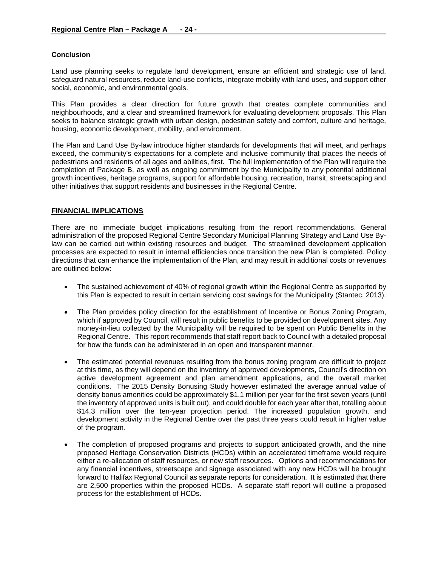## **Conclusion**

Land use planning seeks to regulate land development, ensure an efficient and strategic use of land, safeguard natural resources, reduce land-use conflicts, integrate mobility with land uses, and support other social, economic, and environmental goals.

This Plan provides a clear direction for future growth that creates complete communities and neighbourhoods, and a clear and streamlined framework for evaluating development proposals. This Plan seeks to balance strategic growth with urban design, pedestrian safety and comfort, culture and heritage, housing, economic development, mobility, and environment.

The Plan and Land Use By-law introduce higher standards for developments that will meet, and perhaps exceed, the community's expectations for a complete and inclusive community that places the needs of pedestrians and residents of all ages and abilities, first. The full implementation of the Plan will require the completion of Package B, as well as ongoing commitment by the Municipality to any potential additional growth incentives, heritage programs, support for affordable housing, recreation, transit, streetscaping and other initiatives that support residents and businesses in the Regional Centre.

## **FINANCIAL IMPLICATIONS**

There are no immediate budget implications resulting from the report recommendations. General administration of the proposed Regional Centre Secondary Municipal Planning Strategy and Land Use Bylaw can be carried out within existing resources and budget. The streamlined development application processes are expected to result in internal efficiencies once transition the new Plan is completed. Policy directions that can enhance the implementation of the Plan, and may result in additional costs or revenues are outlined below:

- The sustained achievement of 40% of regional growth within the Regional Centre as supported by this Plan is expected to result in certain servicing cost savings for the Municipality (Stantec, 2013).
- The Plan provides policy direction for the establishment of Incentive or Bonus Zoning Program, which if approved by Council, will result in public benefits to be provided on development sites. Any money-in-lieu collected by the Municipality will be required to be spent on Public Benefits in the Regional Centre. This report recommends that staff report back to Council with a detailed proposal for how the funds can be administered in an open and transparent manner.
- The estimated potential revenues resulting from the bonus zoning program are difficult to project at this time, as they will depend on the inventory of approved developments, Council's direction on active development agreement and plan amendment applications, and the overall market conditions. The 2015 Density Bonusing Study however estimated the average annual value of density bonus amenities could be approximately \$1.1 million per year for the first seven years (until the inventory of approved units is built out), and could double for each year after that, totalling about \$14.3 million over the ten-year projection period. The increased population growth, and development activity in the Regional Centre over the past three years could result in higher value of the program.
- The completion of proposed programs and projects to support anticipated growth, and the nine proposed Heritage Conservation Districts (HCDs) within an accelerated timeframe would require either a re-allocation of staff resources, or new staff resources. Options and recommendations for any financial incentives, streetscape and signage associated with any new HCDs will be brought forward to Halifax Regional Council as separate reports for consideration. It is estimated that there are 2,500 properties within the proposed HCDs. A separate staff report will outline a proposed process for the establishment of HCDs.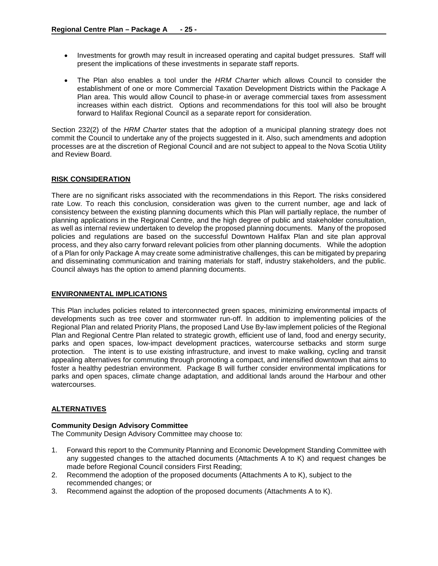- Investments for growth may result in increased operating and capital budget pressures. Staff will present the implications of these investments in separate staff reports.
- The Plan also enables a tool under the *HRM Charter* which allows Council to consider the establishment of one or more Commercial Taxation Development Districts within the Package A Plan area. This would allow Council to phase-in or average commercial taxes from assessment increases within each district. Options and recommendations for this tool will also be brought forward to Halifax Regional Council as a separate report for consideration.

Section 232(2) of the *HRM Charter* states that the adoption of a municipal planning strategy does not commit the Council to undertake any of the projects suggested in it. Also, such amendments and adoption processes are at the discretion of Regional Council and are not subject to appeal to the Nova Scotia Utility and Review Board.

## **RISK CONSIDERATION**

There are no significant risks associated with the recommendations in this Report. The risks considered rate Low. To reach this conclusion, consideration was given to the current number, age and lack of consistency between the existing planning documents which this Plan will partially replace, the number of planning applications in the Regional Centre, and the high degree of public and stakeholder consultation, as well as internal review undertaken to develop the proposed planning documents. Many of the proposed policies and regulations are based on the successful Downtown Halifax Plan and site plan approval process, and they also carry forward relevant policies from other planning documents. While the adoption of a Plan for only Package A may create some administrative challenges, this can be mitigated by preparing and disseminating communication and training materials for staff, industry stakeholders, and the public. Council always has the option to amend planning documents.

## **ENVIRONMENTAL IMPLICATIONS**

This Plan includes policies related to interconnected green spaces, minimizing environmental impacts of developments such as tree cover and stormwater run-off. In addition to implementing policies of the Regional Plan and related Priority Plans, the proposed Land Use By-law implement policies of the Regional Plan and Regional Centre Plan related to strategic growth, efficient use of land, food and energy security, parks and open spaces, low-impact development practices, watercourse setbacks and storm surge protection. The intent is to use existing infrastructure, and invest to make walking, cycling and transit appealing alternatives for commuting through promoting a compact, and intensified downtown that aims to foster a healthy pedestrian environment. Package B will further consider environmental implications for parks and open spaces, climate change adaptation, and additional lands around the Harbour and other watercourses.

## **ALTERNATIVES**

## **Community Design Advisory Committee**

The Community Design Advisory Committee may choose to:

- 1. Forward this report to the Community Planning and Economic Development Standing Committee with any suggested changes to the attached documents (Attachments A to K) and request changes be made before Regional Council considers First Reading;
- 2. Recommend the adoption of the proposed documents (Attachments A to K), subject to the recommended changes; or
- 3. Recommend against the adoption of the proposed documents (Attachments A to K).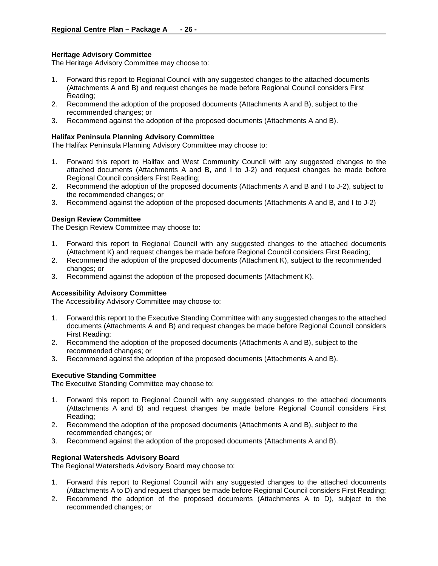## **Heritage Advisory Committee**

The Heritage Advisory Committee may choose to:

- 1. Forward this report to Regional Council with any suggested changes to the attached documents (Attachments A and B) and request changes be made before Regional Council considers First Reading;
- 2. Recommend the adoption of the proposed documents (Attachments A and B), subject to the recommended changes; or
- 3. Recommend against the adoption of the proposed documents (Attachments A and B).

#### **Halifax Peninsula Planning Advisory Committee**

The Halifax Peninsula Planning Advisory Committee may choose to:

- 1. Forward this report to Halifax and West Community Council with any suggested changes to the attached documents (Attachments A and B, and I to J-2) and request changes be made before Regional Council considers First Reading;
- 2. Recommend the adoption of the proposed documents (Attachments A and B and I to J-2), subject to the recommended changes; or
- 3. Recommend against the adoption of the proposed documents (Attachments A and B, and I to J-2)

#### **Design Review Committee**

The Design Review Committee may choose to:

- 1. Forward this report to Regional Council with any suggested changes to the attached documents (Attachment K) and request changes be made before Regional Council considers First Reading;
- 2. Recommend the adoption of the proposed documents (Attachment K), subject to the recommended changes; or
- 3. Recommend against the adoption of the proposed documents (Attachment K).

#### **Accessibility Advisory Committee**

The Accessibility Advisory Committee may choose to:

- 1. Forward this report to the Executive Standing Committee with any suggested changes to the attached documents (Attachments A and B) and request changes be made before Regional Council considers First Reading;
- 2. Recommend the adoption of the proposed documents (Attachments A and B), subject to the recommended changes; or
- 3. Recommend against the adoption of the proposed documents (Attachments A and B).

#### **Executive Standing Committee**

The Executive Standing Committee may choose to:

- 1. Forward this report to Regional Council with any suggested changes to the attached documents (Attachments A and B) and request changes be made before Regional Council considers First Reading;
- 2. Recommend the adoption of the proposed documents (Attachments A and B), subject to the recommended changes; or
- 3. Recommend against the adoption of the proposed documents (Attachments A and B).

#### **Regional Watersheds Advisory Board**

The Regional Watersheds Advisory Board may choose to:

- 1. Forward this report to Regional Council with any suggested changes to the attached documents (Attachments A to D) and request changes be made before Regional Council considers First Reading;
- 2. Recommend the adoption of the proposed documents (Attachments A to D), subject to the recommended changes; or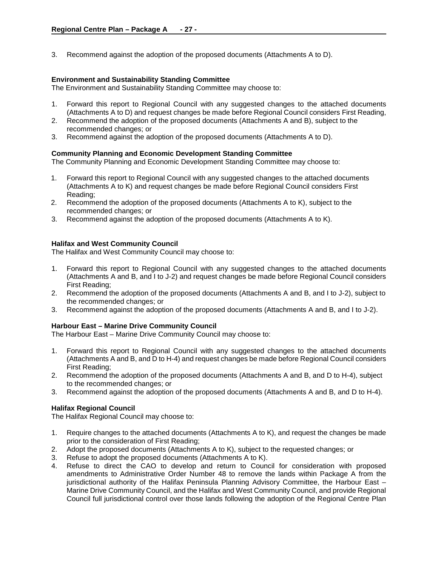3. Recommend against the adoption of the proposed documents (Attachments A to D).

### **Environment and Sustainability Standing Committee**

The Environment and Sustainability Standing Committee may choose to:

- 1. Forward this report to Regional Council with any suggested changes to the attached documents (Attachments A to D) and request changes be made before Regional Council considers First Reading,
- 2. Recommend the adoption of the proposed documents (Attachments A and B), subject to the recommended changes; or
- 3. Recommend against the adoption of the proposed documents (Attachments A to D).

## **Community Planning and Economic Development Standing Committee**

The Community Planning and Economic Development Standing Committee may choose to:

- 1. Forward this report to Regional Council with any suggested changes to the attached documents (Attachments A to K) and request changes be made before Regional Council considers First Reading;
- 2. Recommend the adoption of the proposed documents (Attachments A to K), subject to the recommended changes; or
- 3. Recommend against the adoption of the proposed documents (Attachments A to K).

## **Halifax and West Community Council**

The Halifax and West Community Council may choose to:

- 1. Forward this report to Regional Council with any suggested changes to the attached documents (Attachments A and B, and I to J-2) and request changes be made before Regional Council considers First Reading;
- 2. Recommend the adoption of the proposed documents (Attachments A and B, and I to J-2), subject to the recommended changes; or
- 3. Recommend against the adoption of the proposed documents (Attachments A and B, and I to J-2).

## **Harbour East – Marine Drive Community Council**

The Harbour East – Marine Drive Community Council may choose to:

- 1. Forward this report to Regional Council with any suggested changes to the attached documents (Attachments A and B, and D to H-4) and request changes be made before Regional Council considers First Reading;
- 2. Recommend the adoption of the proposed documents (Attachments A and B, and D to H-4), subject to the recommended changes; or
- 3. Recommend against the adoption of the proposed documents (Attachments A and B, and D to H-4).

## **Halifax Regional Council**

The Halifax Regional Council may choose to:

- 1. Require changes to the attached documents (Attachments A to K), and request the changes be made prior to the consideration of First Reading;
- 2. Adopt the proposed documents (Attachments A to K), subject to the requested changes; or
- 3. Refuse to adopt the proposed documents (Attachments A to K).
- 4. Refuse to direct the CAO to develop and return to Council for consideration with proposed amendments to Administrative Order Number 48 to remove the lands within Package A from the jurisdictional authority of the Halifax Peninsula Planning Advisory Committee, the Harbour East – Marine Drive Community Council, and the Halifax and West Community Council, and provide Regional Council full jurisdictional control over those lands following the adoption of the Regional Centre Plan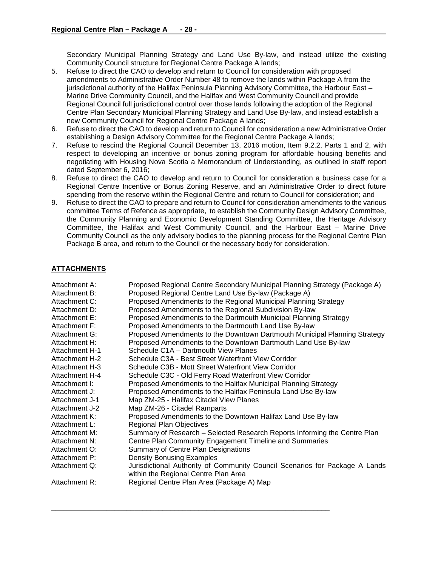Secondary Municipal Planning Strategy and Land Use By-law, and instead utilize the existing Community Council structure for Regional Centre Package A lands;

- 5. Refuse to direct the CAO to develop and return to Council for consideration with proposed amendments to Administrative Order Number 48 to remove the lands within Package A from the jurisdictional authority of the Halifax Peninsula Planning Advisory Committee, the Harbour East – Marine Drive Community Council, and the Halifax and West Community Council and provide Regional Council full jurisdictional control over those lands following the adoption of the Regional Centre Plan Secondary Municipal Planning Strategy and Land Use By-law, and instead establish a new Community Council for Regional Centre Package A lands;
- 6. Refuse to direct the CAO to develop and return to Council for consideration a new Administrative Order establishing a Design Advisory Committee for the Regional Centre Package A lands;
- 7. Refuse to rescind the Regional Council December 13, 2016 motion, Item 9.2.2, Parts 1 and 2, with respect to developing an incentive or bonus zoning program for affordable housing benefits and negotiating with Housing Nova Scotia a Memorandum of Understanding, as outlined in staff report dated September 6, 2016;
- 8. Refuse to direct the CAO to develop and return to Council for consideration a business case for a Regional Centre Incentive or Bonus Zoning Reserve, and an Administrative Order to direct future spending from the reserve within the Regional Centre and return to Council for consideration; and
- 9. Refuse to direct the CAO to prepare and return to Council for consideration amendments to the various committee Terms of Refence as appropriate, to establish the Community Design Advisory Committee, the Community Planning and Economic Development Standing Committee, the Heritage Advisory Committee, the Halifax and West Community Council, and the Harbour East – Marine Drive Community Council as the only advisory bodies to the planning process for the Regional Centre Plan Package B area, and return to the Council or the necessary body for consideration.

# **ATTACHMENTS**

| Attachment A:         | Proposed Regional Centre Secondary Municipal Planning Strategy (Package A)  |
|-----------------------|-----------------------------------------------------------------------------|
| Attachment B:         | Proposed Regional Centre Land Use By-law (Package A)                        |
| Attachment C:         | Proposed Amendments to the Regional Municipal Planning Strategy             |
| Attachment D:         | Proposed Amendments to the Regional Subdivision By-law                      |
| Attachment E:         | Proposed Amendments to the Dartmouth Municipal Planning Strategy            |
| Attachment F:         | Proposed Amendments to the Dartmouth Land Use By-law                        |
| Attachment G:         | Proposed Amendments to the Downtown Dartmouth Municipal Planning Strategy   |
| Attachment H:         | Proposed Amendments to the Downtown Dartmouth Land Use By-law               |
| <b>Attachment H-1</b> | Schedule C1A - Dartmouth View Planes                                        |
| Attachment H-2        | Schedule C3A - Best Street Waterfront View Corridor                         |
| Attachment H-3        | Schedule C3B - Mott Street Waterfront View Corridor                         |
| Attachment H-4        | Schedule C3C - Old Ferry Road Waterfront View Corridor                      |
| Attachment I:         | Proposed Amendments to the Halifax Municipal Planning Strategy              |
| Attachment J:         | Proposed Amendments to the Halifax Peninsula Land Use By-law                |
| Attachment J-1        | Map ZM-25 - Halifax Citadel View Planes                                     |
| Attachment J-2        | Map ZM-26 - Citadel Ramparts                                                |
| Attachment K:         | Proposed Amendments to the Downtown Halifax Land Use By-law                 |
| Attachment L:         | <b>Regional Plan Objectives</b>                                             |
| Attachment M:         | Summary of Research - Selected Research Reports Informing the Centre Plan   |
| Attachment N:         | Centre Plan Community Engagement Timeline and Summaries                     |
| Attachment O:         | Summary of Centre Plan Designations                                         |
| Attachment P:         | <b>Density Bonusing Examples</b>                                            |
| Attachment Q:         | Jurisdictional Authority of Community Council Scenarios for Package A Lands |
|                       | within the Regional Centre Plan Area                                        |
| Attachment R:         | Regional Centre Plan Area (Package A) Map                                   |

\_\_\_\_\_\_\_\_\_\_\_\_\_\_\_\_\_\_\_\_\_\_\_\_\_\_\_\_\_\_\_\_\_\_\_\_\_\_\_\_\_\_\_\_\_\_\_\_\_\_\_\_\_\_\_\_\_\_\_\_\_\_\_\_\_\_\_\_\_\_